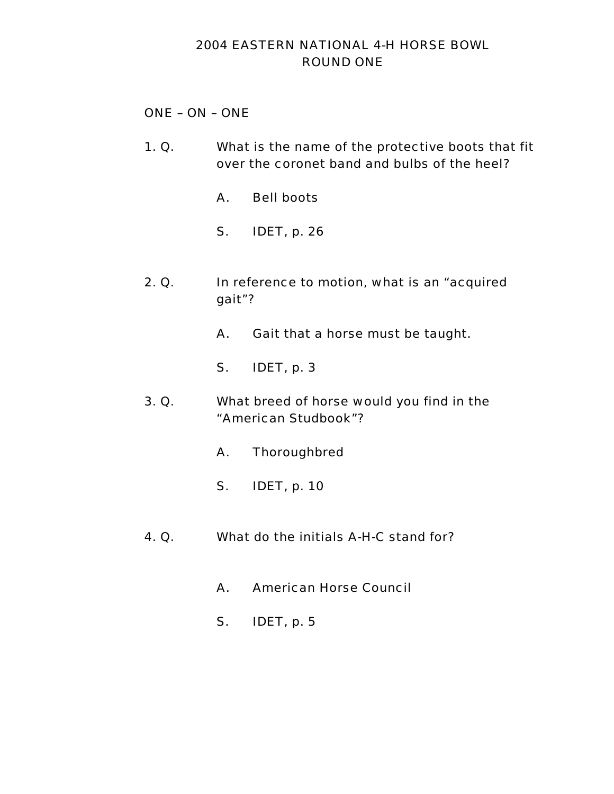# 2004 EASTERN NATIONAL 4-H HORSE BOWL ROUND ONE

# ONE – ON – ONE

- 1. Q. What is the name of the protective boots that fit over the coronet band and bulbs of the heel?
	- A. Bell boots
	- S. IDET, p. 26
- 2. Q. In reference to motion, what is an "acquired gait"?
	- A. Gait that a horse must be taught.
	- S. IDET, p. 3
- 3. Q. What breed of horse would you find in the "American Studbook"?
	- A. Thoroughbred
	- S. IDET, p. 10
- 4. Q. What do the initials A-H-C stand for?
	- A. American Horse Council
	- S. IDET, p. 5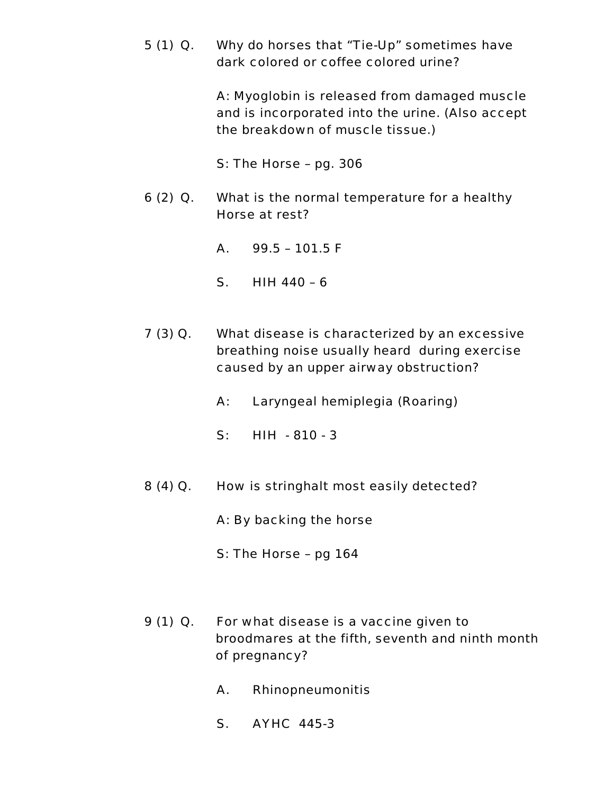5 (1) Q. Why do horses that "Tie-Up" sometimes have dark colored or coffee colored urine?

> A: Myoglobin is released from damaged muscle and is incorporated into the urine. (Also accept the breakdown of muscle tissue.)

S: The Horse – pg. 306

- 6 (2) Q. What is the normal temperature for a healthy Horse at rest?
	- A. 99.5 101.5 F
	- S. HIH 440 6
- 7 (3) Q. What disease is characterized by an excessive breathing noise usually heard during exercise caused by an upper airway obstruction?
	- A: Laryngeal hemiplegia (Roaring)
	- S: HIH 810 3
- 8 (4) Q. How is stringhalt most easily detected?
	- A: By backing the horse
	- S: The Horse pg 164
- 9 (1) Q. For what disease is a vaccine given to broodmares at the fifth, seventh and ninth month of pregnancy?
	- A. Rhinopneumonitis
	- S. AYHC 445-3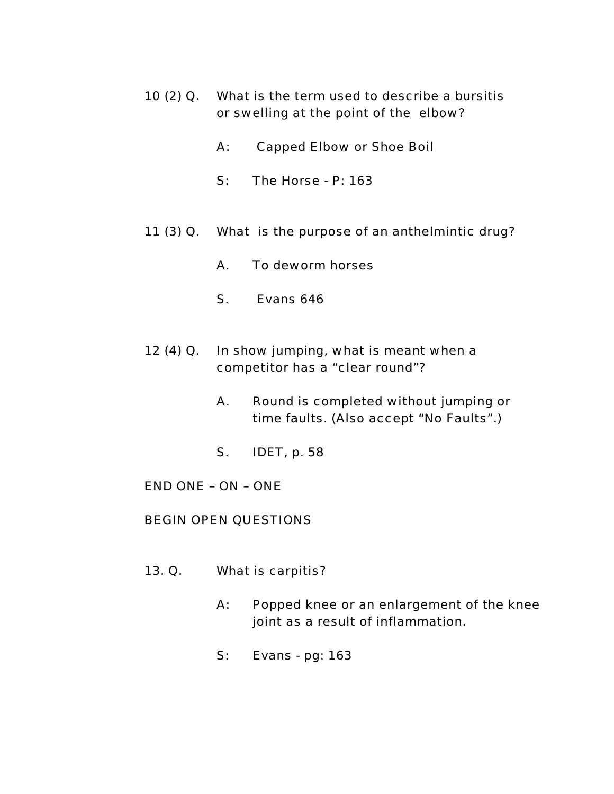- 10 (2) Q. What is the term used to describe a bursitis or swelling at the point of the elbow?
	- A: Capped Elbow or Shoe Boil
	- S: The Horse P: 163
- 11 (3) Q. What is the purpose of an anthelmintic drug?
	- A. To deworm horses
	- S. Evans 646
- 12 (4) Q. In show jumping, what is meant when a competitor has a "clear round"?
	- A. Round is completed without jumping or time faults. (Also accept "No Faults".)
	- S. IDET, p. 58
- END ONE ON ONE

# BEGIN OPEN QUESTIONS

- 13. Q. What is carpitis?
	- A: Popped knee or an enlargement of the knee joint as a result of inflammation.
	- S: Evans pg: 163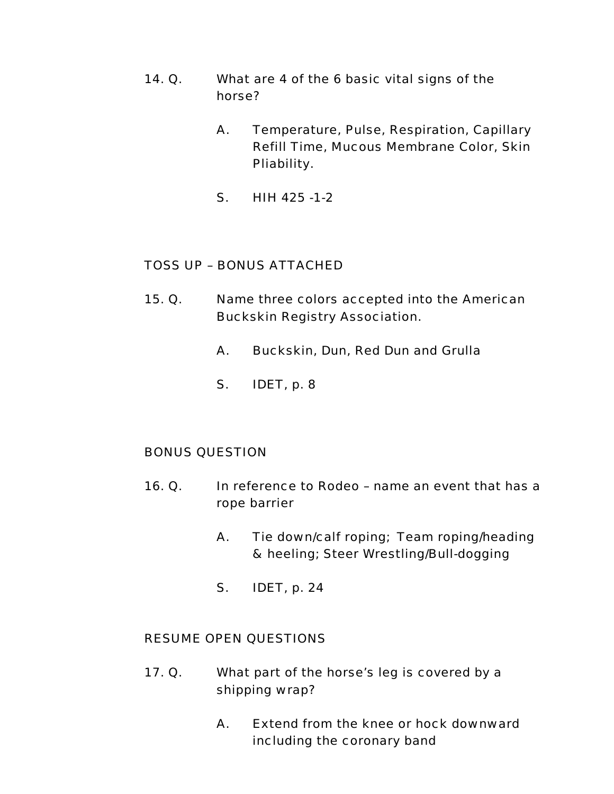- 14. Q. What are 4 of the 6 basic vital signs of the horse?
	- A. Temperature, Pulse, Respiration, Capillary Refill Time, Mucous Membrane Color, Skin Pliability.
	- S. HIH 425 -1-2

- 15. Q. Name three colors accepted into the American Buckskin Registry Association.
	- A. Buckskin, Dun, Red Dun and Grulla
	- S. IDET, p. 8

#### BONUS QUESTION

- 16. Q. In reference to Rodeo name an event that has a rope barrier
	- A. Tie down/calf roping; Team roping/heading & heeling; Steer Wrestling/Bull-dogging
	- S. IDET, p. 24

- 17. Q. What part of the horse's leg is covered by a shipping wrap?
	- A. Extend from the knee or hock downward including the coronary band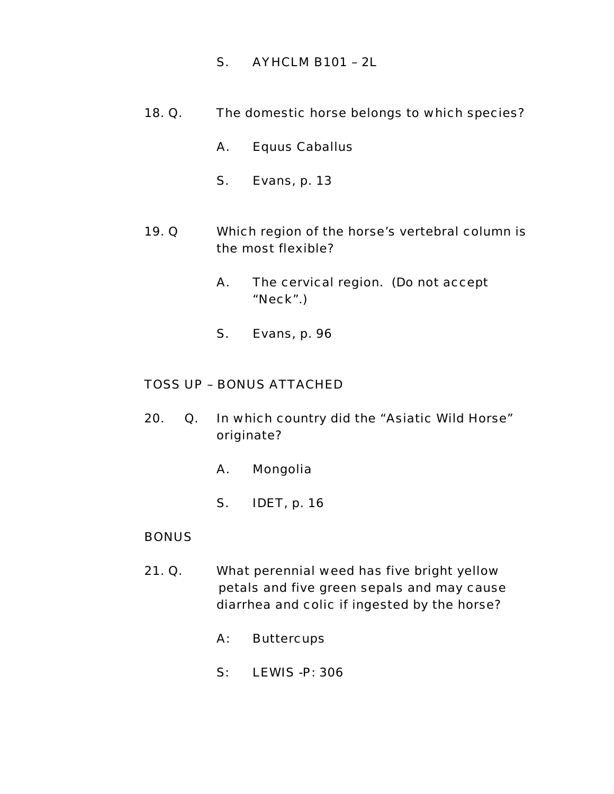- S. AYHCLM B101 2L
- 18. Q. The domestic horse belongs to which species?
	- A. Equus Caballus
	- S. Evans, p. 13
- 19. Q Which region of the horse's vertebral column is the most flexible?
	- A. The cervical region. (Do not accept "Neck".)
	- S. Evans, p. 96

- 20. Q. In which country did the "Asiatic Wild Horse" originate?
	- A. Mongolia
	- S. IDET, p. 16

#### **BONUS**

- 21. Q. What perennial weed has five bright yellow petals and five green sepals and may cause diarrhea and colic if ingested by the horse?
	- A: Buttercups
	- S: LEWIS -P: 306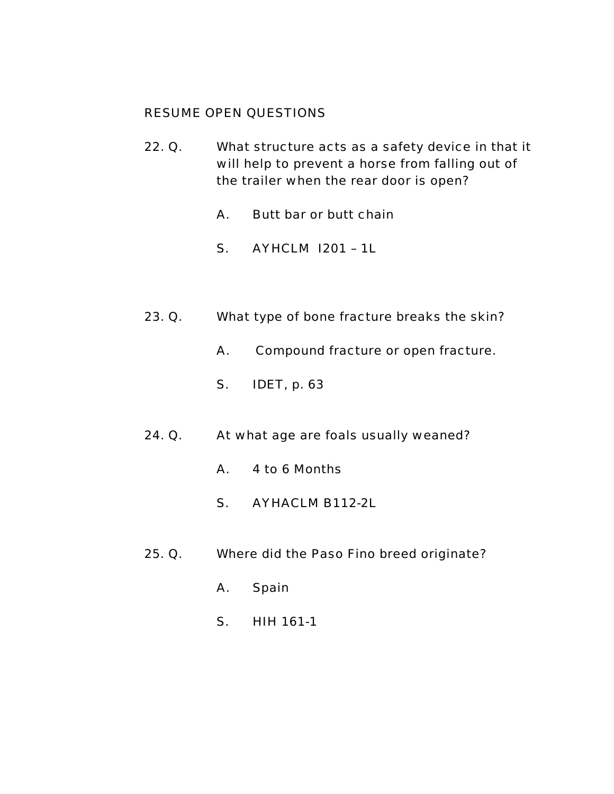- 22. Q. What structure acts as a safety device in that it will help to prevent a horse from falling out of the trailer when the rear door is open?
	- A. Butt bar or butt chain
	- S. AYHCLM I201 1L
- 23. Q. What type of bone fracture breaks the skin?
	- A. Compound fracture or open fracture.
	- S. IDET, p. 63
- 24. Q. At what age are foals usually weaned?
	- A. 4 to 6 Months
	- S. AYHACLM B112-2L
- 25. Q. Where did the Paso Fino breed originate?
	- A. Spain
	- S. HIH 161-1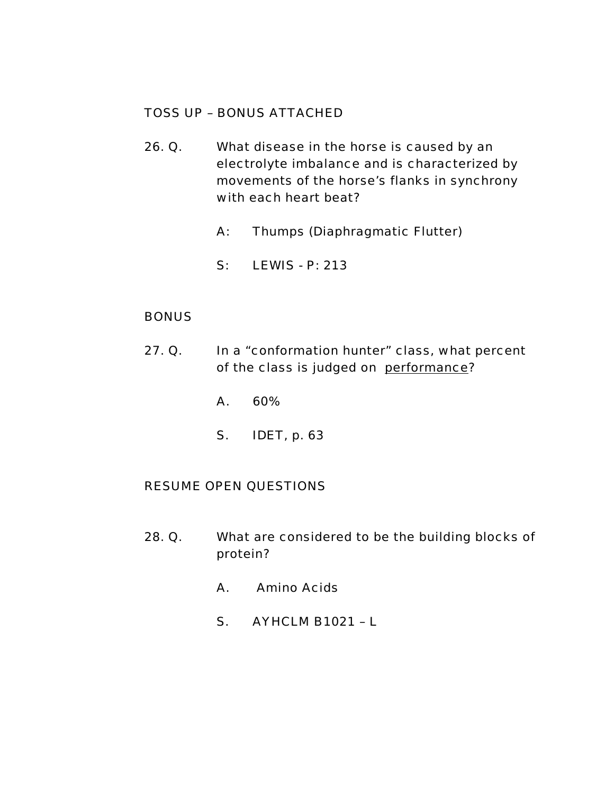- 26. Q. What disease in the horse is caused by an electrolyte imbalance and is characterized by movements of the horse's flanks in synchrony with each heart beat?
	- A: Thumps (Diaphragmatic Flutter)
	- S: LEWIS P: 213

## BONUS

- 27. Q. In a "conformation hunter" class, what percent of the class is judged on performance?
	- A. 60%
	- S. IDET, p. 63

- 28. Q. What are considered to be the building blocks of protein?
	- A. Amino Acids
	- S. AYHCLM B1021 L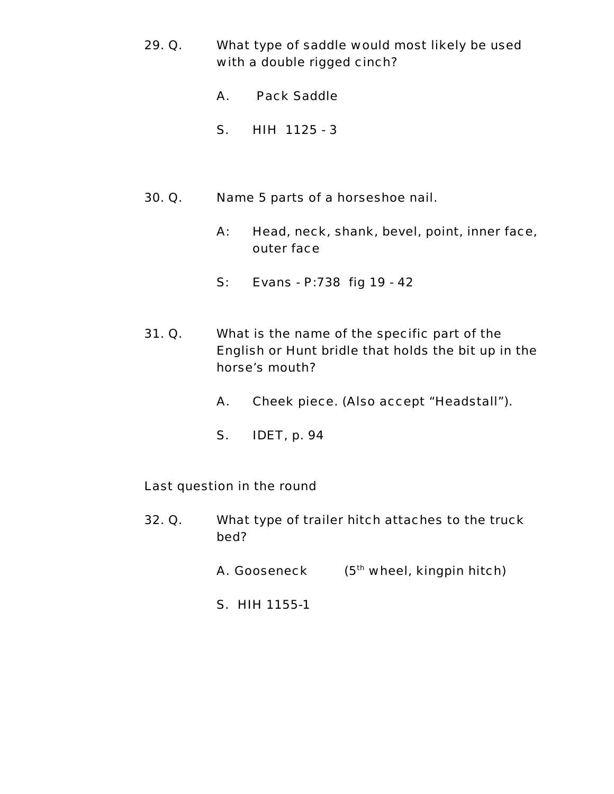- 29. Q. What type of saddle would most likely be used with a double rigged cinch?
	- A. Pack Saddle
	- S. HIH 1125 3
- 30. Q. Name 5 parts of a horseshoe nail.
	- A: Head, neck, shank, bevel, point, inner face, outer face
	- S: Evans P:738 fig 19 42
- 31. Q. What is the name of the specific part of the English or Hunt bridle that holds the bit up in the horse's mouth?
	- A. Cheek piece. (Also accept "Headstall").
	- S. IDET, p. 94

#### Last question in the round

- 32. Q. What type of trailer hitch attaches to the truck bed?
	- A. Gooseneck  $(5<sup>th</sup>$  wheel, kingpin hitch)
	- S. HIH 1155-1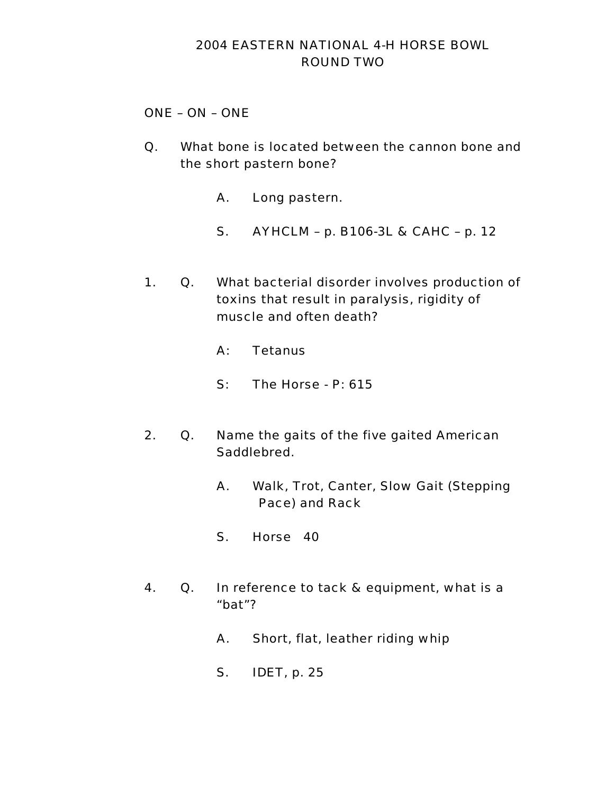# 2004 EASTERN NATIONAL 4-H HORSE BOWL ROUND TWO

### ONE – ON – ONE

- Q. What bone is located between the cannon bone and the short pastern bone?
	- A. Long pastern.
	- S. AYHCLM p. B106-3L & CAHC p. 12
- 1. Q. What bacterial disorder involves production of toxins that result in paralysis, rigidity of muscle and often death?
	- A: Tetanus
	- S: The Horse P: 615
- 2. Q. Name the gaits of the five gaited American Saddlebred.
	- A. Walk, Trot, Canter, Slow Gait (Stepping Pace) and Rack
	- S. Horse 40
- 4. Q. In reference to tack & equipment, what is a "bat"?
	- A. Short, flat, leather riding whip
	- S. IDET, p. 25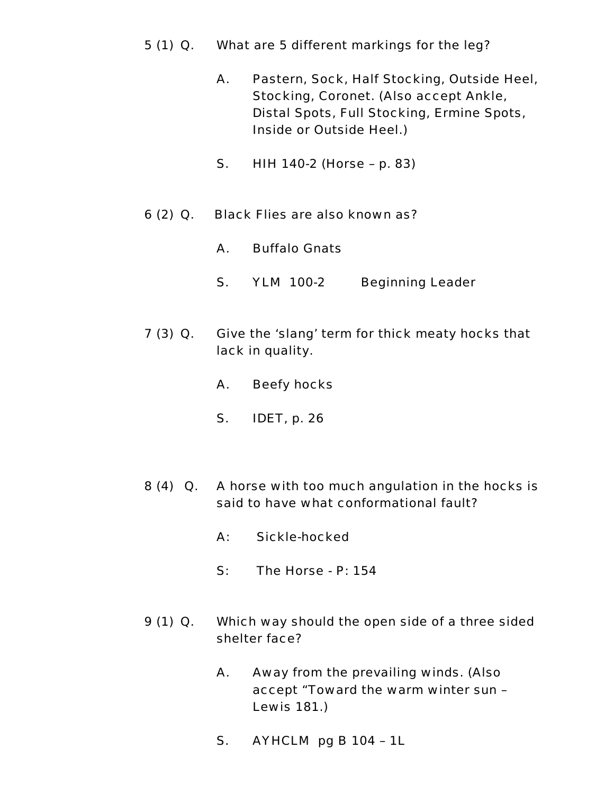- 5 (1) Q. What are 5 different markings for the leg?
	- A. Pastern, Sock, Half Stocking, Outside Heel, Stocking, Coronet. (Also accept Ankle, Distal Spots, Full Stocking, Ermine Spots, Inside or Outside Heel.)
	- S. HIH 140-2 (Horse p. 83)
- 6 (2) Q. Black Flies are also known as?
	- A. Buffalo Gnats
	- S. YLM 100-2 Beginning Leader
- 7 (3) Q. Give the 'slang' term for thick meaty hocks that lack in quality.
	- A. Beefy hocks
	- S. IDET, p. 26
- 8 (4) Q. A horse with too much angulation in the hocks is said to have what conformational fault?
	- A: Sickle-hocked
	- S: The Horse P: 154
- 9 (1) Q. Which way should the open side of a three sided shelter face?
	- A. Away from the prevailing winds. (Also accept "Toward the warm winter sun – Lewis 181.)
	- S. AYHCLM pg B 104 1L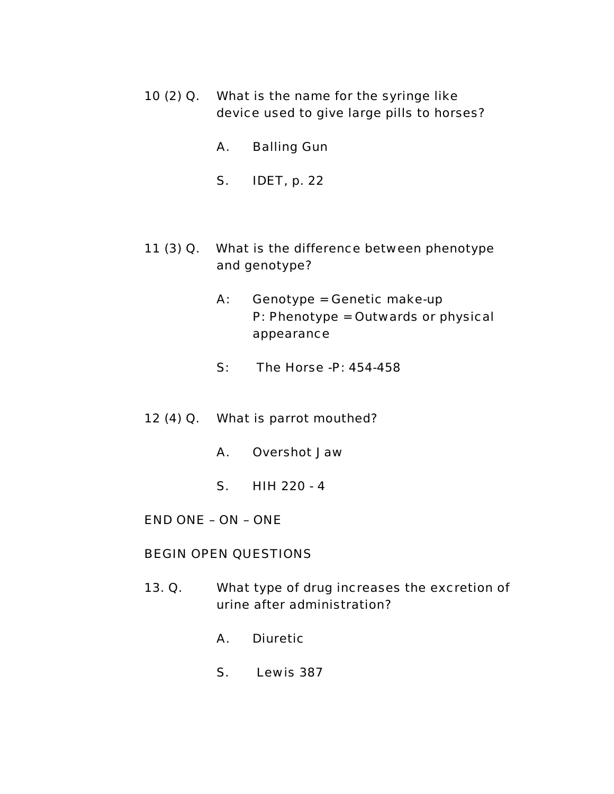- 10 (2) Q. What is the name for the syringe like device used to give large pills to horses?
	- A. Balling Gun
	- S. IDET, p. 22
- 11 (3) Q. What is the difference between phenotype and genotype?
	- A: Genotype = Genetic make-up P: Phenotype = Outwards or physical appearance
	- S: The Horse -P: 454-458
- 12 (4) Q. What is parrot mouthed?
	- A. Overshot Jaw
	- S. HIH 220 4
- END ONE ON ONE

#### BEGIN OPEN QUESTIONS

- 13. Q. What type of drug increases the excretion of urine after administration?
	- A. Diuretic
	- S. Lewis 387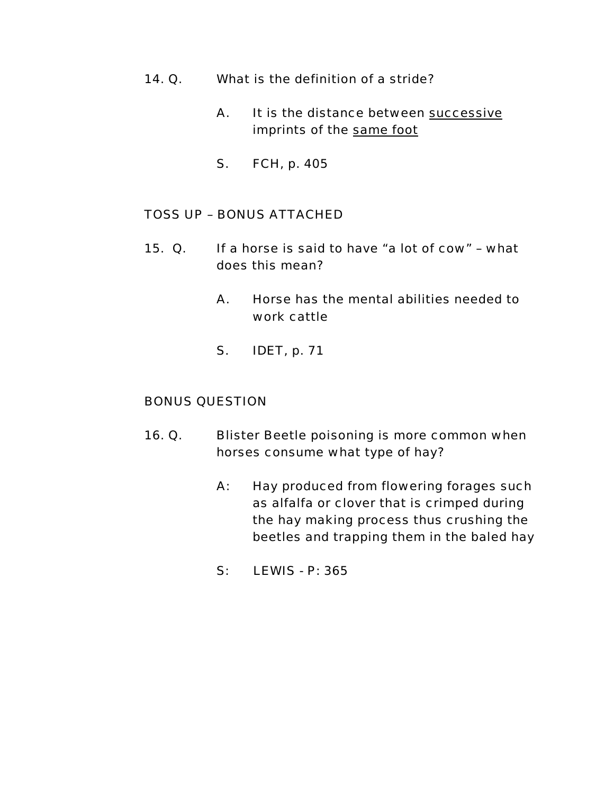- 14. Q. What is the definition of a stride?
	- A. It is the distance between successive imprints of the same foot
	- S. FCH, p. 405

- 15. Q. If a horse is said to have "a lot of cow" what does this mean?
	- A. Horse has the mental abilities needed to work cattle
	- S. IDET, p. 71

#### BONUS QUESTION

- 16. Q. Blister Beetle poisoning is more common when horses consume what type of hay?
	- A: Hay produced from flowering forages such as alfalfa or clover that is crimped during the hay making process thus crushing the beetles and trapping them in the baled hay
	- S: LEWIS P: 365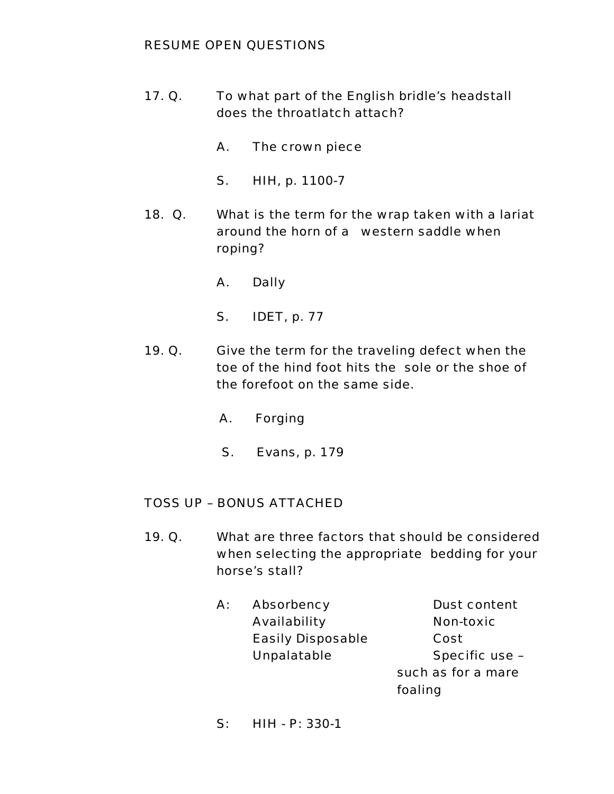# RESUME OPEN QUESTIONS

- 17. Q. To what part of the English bridle's headstall does the throatlatch attach?
	- A. The crown piece
	- S. HIH, p. 1100-7
- 18. Q. What is the term for the wrap taken with a lariat around the horn of a western saddle when roping?
	- A. Dally
	- S. IDET, p. 77
- 19. Q. Give the term for the traveling defect when the toe of the hind foot hits the sole or the shoe of the forefoot on the same side.
	- A. Forging
	- S. Evans, p. 179

# TOSS UP – BONUS ATTACHED

- 19. Q. What are three factors that should be considered when selecting the appropriate bedding for your horse's stall?
	- A: Absorbency Dust content Availability **Non-toxic** Easily Disposable Cost Unpalatable Specific use -

such as for a mare foaling

S: HIH - P: 330-1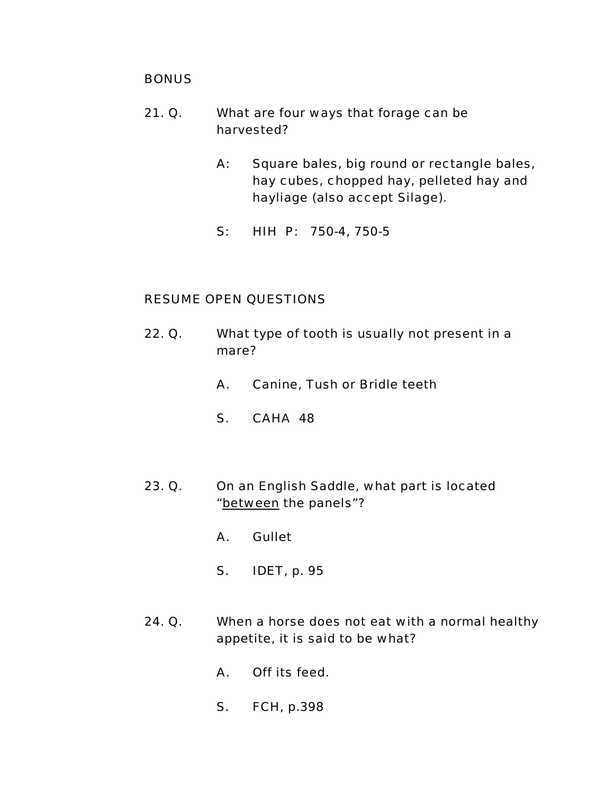#### **BONUS**

- 21. Q. What are four ways that forage can be harvested?
	- A: Square bales, big round or rectangle bales, hay cubes, chopped hay, pelleted hay and hayliage (also accept Silage).
	- S: HIH P: 750-4, 750-5

- 22. Q. What type of tooth is usually not present in a mare?
	- A. Canine, Tush or Bridle teeth
	- S. CAHA 48
- 23. Q. On an English Saddle, what part is located "between the panels"?
	- A. Gullet
	- S. IDET, p. 95
- 24. Q. When a horse does not eat with a normal healthy appetite, it is said to be what?
	- A. Off its feed.
	- S. FCH, p.398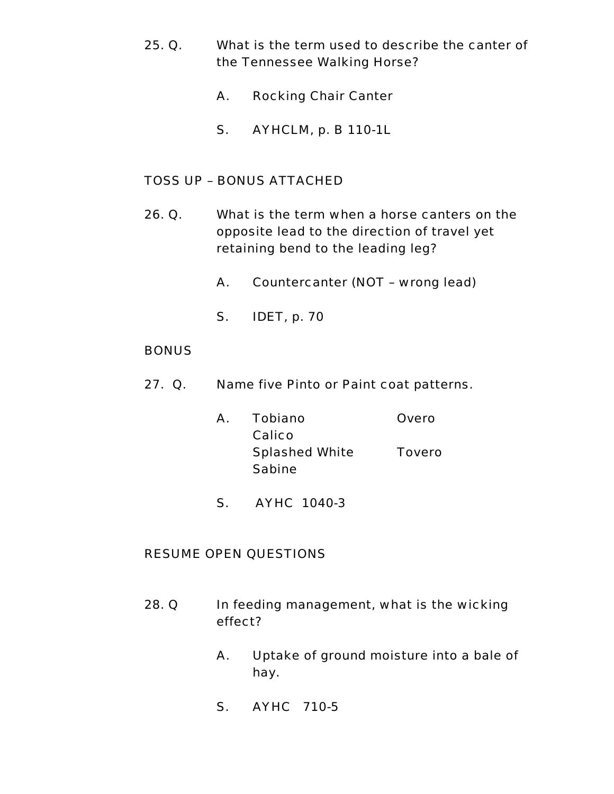- 25. Q. What is the term used to describe the canter of the Tennessee Walking Horse?
	- A. Rocking Chair Canter
	- S. AYHCLM, p. B 110-1L

- 26. Q. What is the term when a horse canters on the opposite lead to the direction of travel yet retaining bend to the leading leg?
	- A. Countercanter (NOT wrong lead)
	- S. IDET, p. 70

#### **BONUS**

- 27. Q. Name five Pinto or Paint coat patterns.
	- A. Tobiano Overo Calico Splashed White Tovero Sabine
	- S. AYHC 1040-3

- 28. Q In feeding management, what is the wicking effect?
	- A. Uptake of ground moisture into a bale of hay.
	- S. AYHC 710-5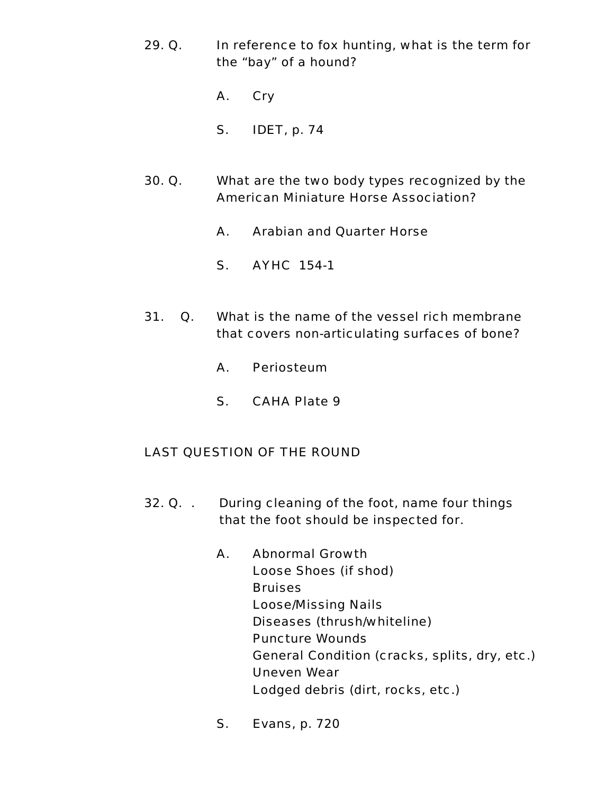- 29. Q. In reference to fox hunting, what is the term for the "bay" of a hound?
	- A. Cry
	- S. IDET, p. 74
- 30. Q. What are the two body types recognized by the American Miniature Horse Association?
	- A. Arabian and Quarter Horse
	- S. AYHC 154-1
- 31. Q. What is the name of the vessel rich membrane that covers non-articulating surfaces of bone?
	- A. Periosteum
	- S. CAHA Plate 9

# LAST QUESTION OF THE ROUND

- 32. Q. . During cleaning of the foot, name four things that the foot should be inspected for.
	- A. Abnormal Growth Loose Shoes (if shod) **Bruises**  Loose/Missing Nails Diseases (thrush/whiteline) Puncture Wounds General Condition (cracks, splits, dry, etc.) Uneven Wear Lodged debris (dirt, rocks, etc.)
	- S. Evans, p. 720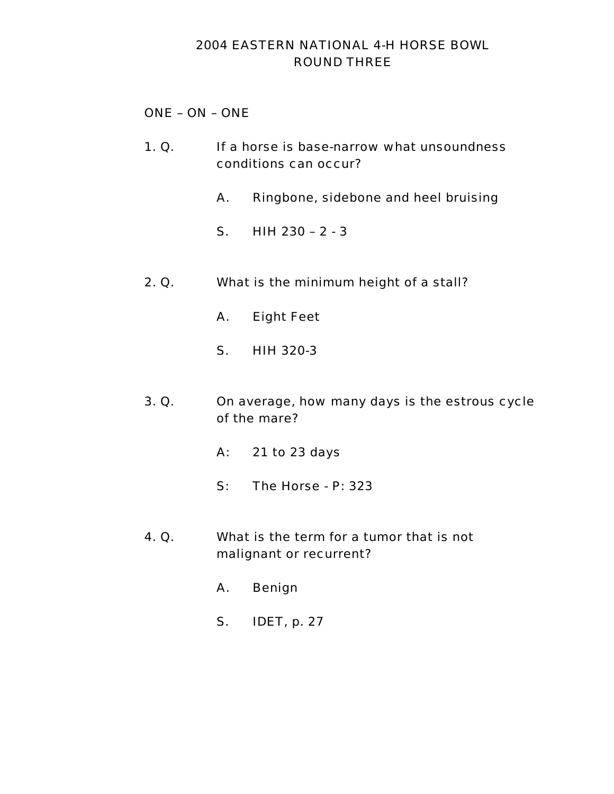# 2004 EASTERN NATIONAL 4-H HORSE BOWL ROUND THREE

# ONE – ON – ONE

- 1. Q. If a horse is base-narrow what unsoundness conditions can occur?
	- A. Ringbone, sidebone and heel bruising
	- S. HIH 230 2 3
- 2. Q. What is the minimum height of a stall?
	- A. Eight Feet
	- S. HIH 320-3
- 3. Q. On average, how many days is the estrous cycle of the mare?
	- A: 21 to 23 days
	- S: The Horse P: 323
- 4. Q. What is the term for a tumor that is not malignant or recurrent?
	- A. Benign
	- S. IDET, p. 27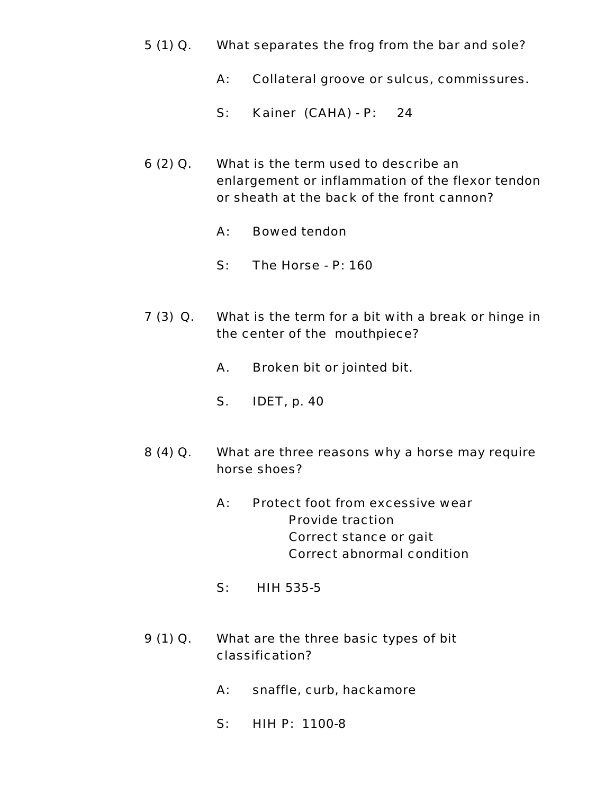- 5 (1) Q. What separates the frog from the bar and sole?
	- A: Collateral groove or sulcus, commissures.
	- S: Kainer (CAHA) P: 24
- 6 (2) Q. What is the term used to describe an enlargement or inflammation of the flexor tendon or sheath at the back of the front cannon?
	- A: Bowed tendon
	- S: The Horse P: 160
- 7 (3) Q. What is the term for a bit with a break or hinge in the center of the mouthpiece?
	- A. Broken bit or jointed bit.
	- S. IDET, p. 40
- 8 (4) Q. What are three reasons why a horse may require horse shoes?
	- A: Protect foot from excessive wear Provide traction Correct stance or gait Correct abnormal condition
	- S: HIH 535-5
- 9 (1) Q. What are the three basic types of bit classification?
	- A: snaffle, curb, hackamore
	- S: HIH P: 1100-8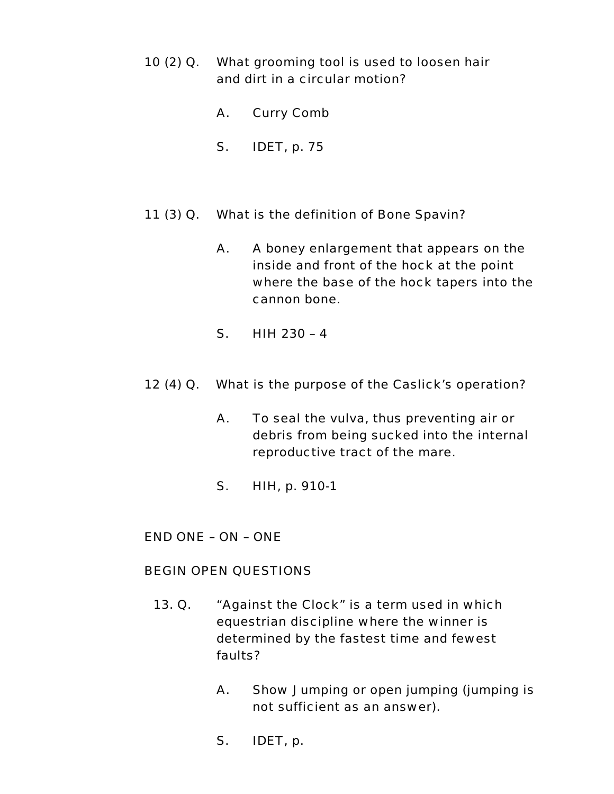- 10 (2) Q. What grooming tool is used to loosen hair and dirt in a circular motion?
	- A. Curry Comb
	- S. IDET, p. 75
- 11 (3) Q. What is the definition of Bone Spavin?
	- A. A boney enlargement that appears on the inside and front of the hock at the point where the base of the hock tapers into the cannon bone.
	- S. HIH 230 4
- 12 (4) Q. What is the purpose of the Caslick's operation?
	- A. To seal the vulva, thus preventing air or debris from being sucked into the internal reproductive tract of the mare.
	- S. HIH, p. 910-1

END ONE – ON – ONE

#### BEGIN OPEN QUESTIONS

- 13. Q. "Against the Clock" is a term used in which equestrian discipline where the winner is determined by the fastest time and fewest faults?
	- A. Show Jumping or open jumping (jumping is not sufficient as an answer).
	- S. IDET, p.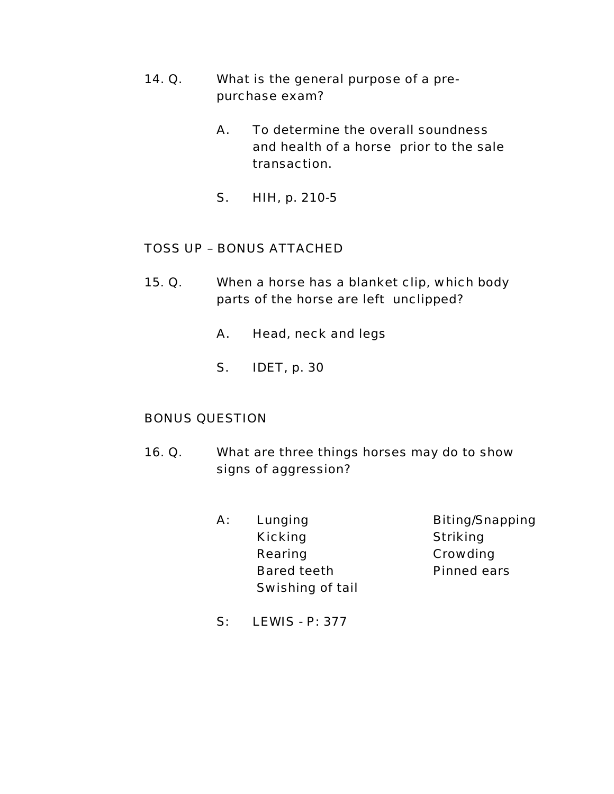- 14. Q. What is the general purpose of a pre purchase exam?
	- A. To determine the overall soundness and health of a horse prior to the sale transaction.
	- S. HIH, p. 210-5

- 15. Q. When a horse has a blanket clip, which body parts of the horse are left unclipped?
	- A. Head, neck and legs
	- S. IDET, p. 30

# BONUS QUESTION

- 16. Q. What are three things horses may do to show signs of aggression?
	- A: Lunging Biting/Snapping Kicking Striking Rearing **Crowding**  Bared teeth Pinned ears Swishing of tail

S: LEWIS - P: 377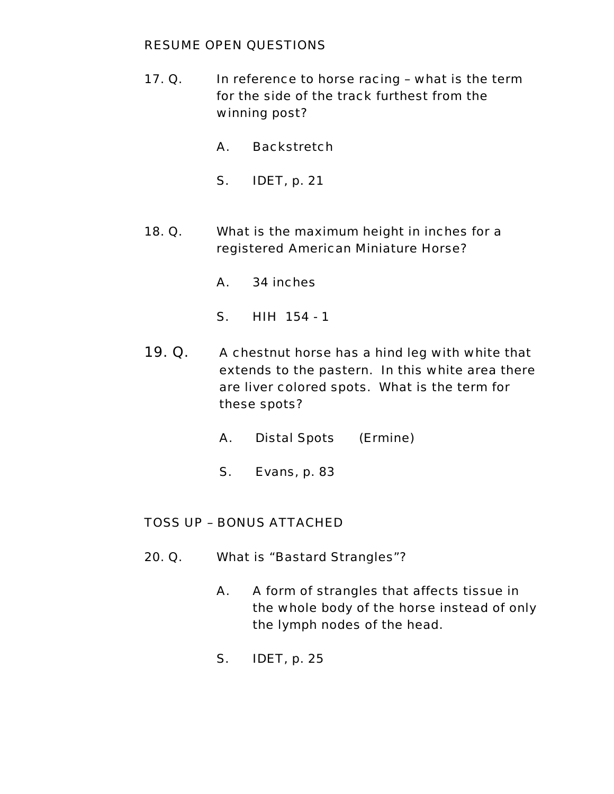### RESUME OPEN QUESTIONS

- 17. Q. In reference to horse racing what is the term for the side of the track furthest from the winning post?
	- A. Backstretch
	- S. IDET, p. 21
- 18. Q. What is the maximum height in inches for a registered American Miniature Horse?
	- A. 34 inches
	- S. HIH 154 1
- 19. Q. A chestnut horse has a hind leg with white that extends to the pastern. In this white area there are liver colored spots. What is the term for these spots?
	- A. Distal Spots (Ermine)
	- S. Evans, p. 83

# TOSS UP – BONUS ATTACHED

- 20. Q. What is "Bastard Strangles"?
	- A. A form of strangles that affects tissue in the whole body of the horse instead of only the lymph nodes of the head.
	- S. IDET, p. 25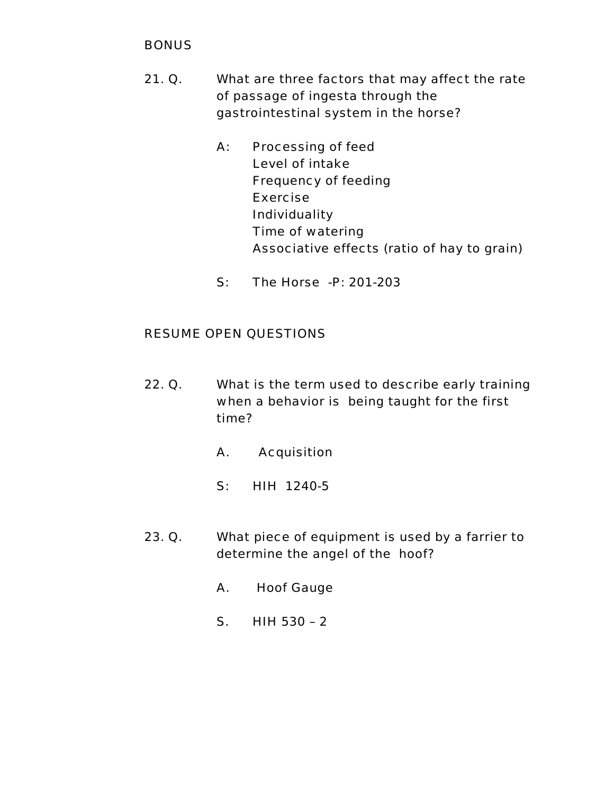# **BONUS**

- 21. Q. What are three factors that may affect the rate of passage of ingesta through the gastrointestinal system in the horse?
	- A: Processing of feed Level of intake Frequency of feeding Exercise Individuality Time of watering Associative effects (ratio of hay to grain)
	- S: The Horse -P: 201-203

- 22. Q. What is the term used to describe early training when a behavior is being taught for the first time?
	- A. Acquisition
	- S: HIH 1240-5
- 23. Q. What piece of equipment is used by a farrier to determine the angel of the hoof?
	- A. Hoof Gauge
	- S. HIH 530 2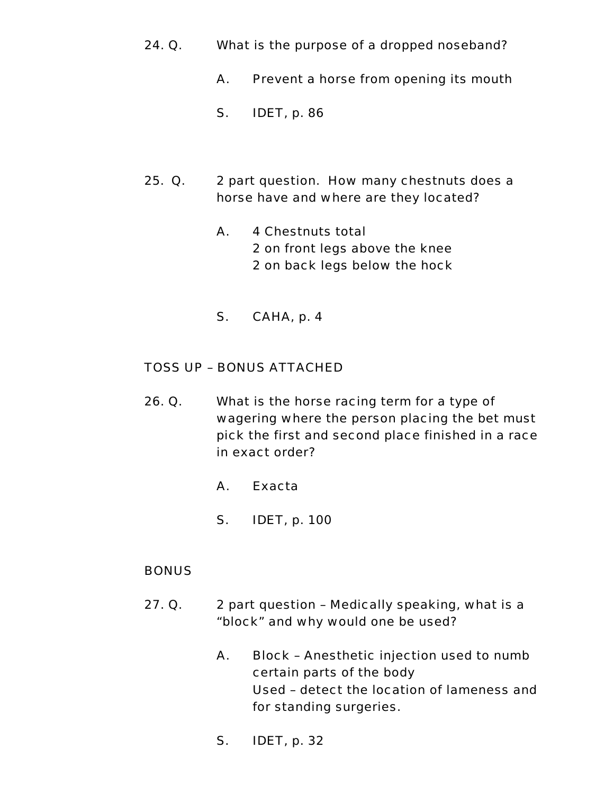- 24. Q. What is the purpose of a dropped noseband?
	- A. Prevent a horse from opening its mouth
	- S. IDET, p. 86
- 25. Q. 2 part question. How many chestnuts does a horse have and where are they located?
	- A. 4 Chestnuts total 2 on front legs above the knee 2 on back legs below the hock
	- S. CAHA, p. 4

- 26. Q. What is the horse racing term for a type of wagering where the person placing the bet must pick the first and second place finished in a race in exact order?
	- A. Exacta
	- S. IDET, p. 100

# **BONUS**

- 27. Q. 2 part question Medically speaking, what is a "block" and why would one be used?
	- A. Block Anesthetic injection used to numb certain parts of the body Used – detect the location of lameness and for standing surgeries.
	- S. IDET, p. 32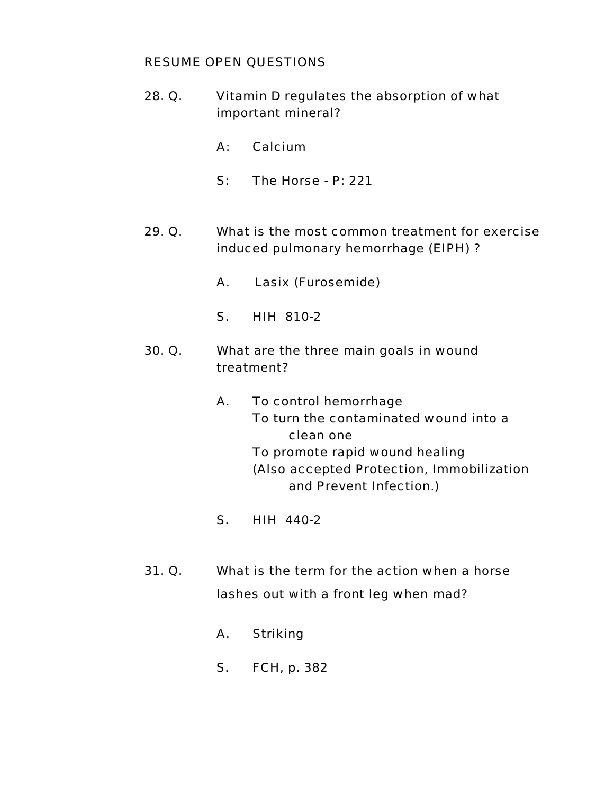- 28. Q. Vitamin D regulates the absorption of what important mineral?
	- A: Calcium
	- S: The Horse P: 221
- 29. Q. What is the most common treatment for exercise induced pulmonary hemorrhage (EIPH) ?
	- A. Lasix (Furosemide)
	- S. HIH 810-2
- 30. Q. What are the three main goals in wound treatment?
	- A. To control hemorrhage To turn the contaminated wound into a clean one To promote rapid wound healing (Also accepted Protection, Immobilization and Prevent Infection.)
	- S. HIH 440-2
- 31. Q. What is the term for the action when a horse lashes out with a front leg when mad?
	- A. Striking
	- S. FCH, p. 382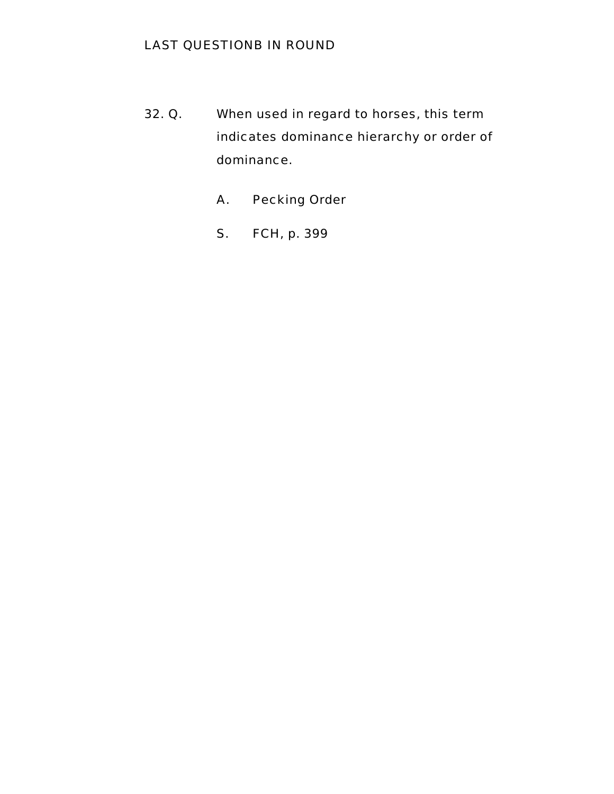# LAST QUESTIONB IN ROUND

- 32. Q. When used in regard to horses, this term indicates dominance hierarchy or order of dominance.
	- A. Pecking Order
	- S. FCH, p. 399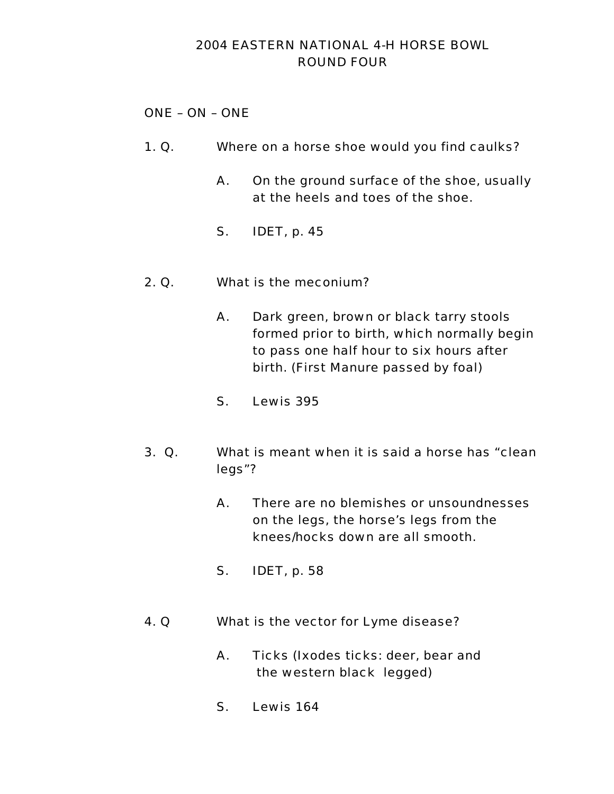# 2004 EASTERN NATIONAL 4-H HORSE BOWL ROUND FOUR

# ONE – ON – ONE

- 1. Q. Where on a horse shoe would you find caulks?
	- A. On the ground surface of the shoe, usually at the heels and toes of the shoe.
	- S. IDET, p. 45
- 2. Q. What is the meconium?
	- A. Dark green, brown or black tarry stools formed prior to birth, which normally begin to pass one half hour to six hours after birth. (First Manure passed by foal)
	- S. Lewis 395
- 3. Q. What is meant when it is said a horse has "clean legs"?
	- A. There are no blemishes or unsoundnesses on the legs, the horse's legs from the knees/hocks down are all smooth.
	- S. IDET, p. 58
- 4. Q What is the vector for Lyme disease?
	- A. Ticks (Ixodes ticks: deer, bear and the western black legged)
	- S. Lewis 164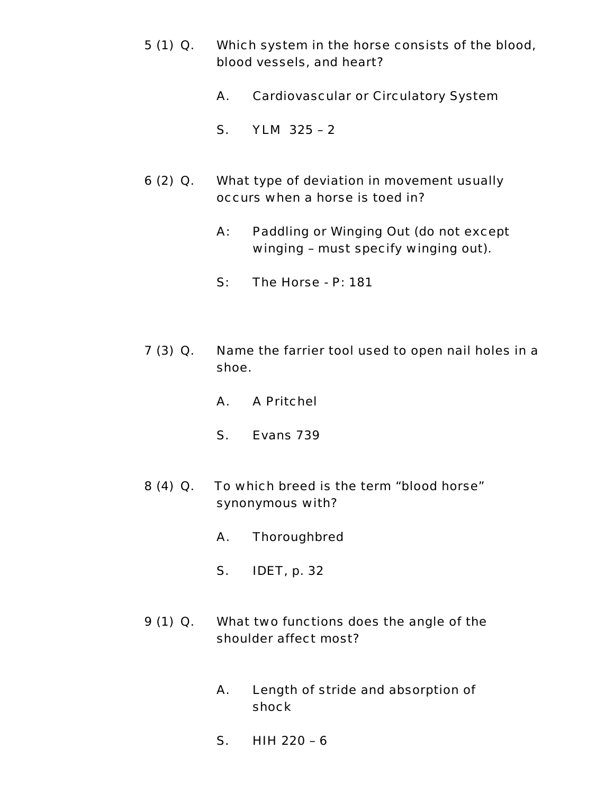- 5 (1) Q. Which system in the horse consists of the blood, blood vessels, and heart?
	- A. Cardiovascular or Circulatory System
	- S. YLM 325 2
- 6 (2) Q. What type of deviation in movement usually occurs when a horse is toed in?
	- A: Paddling or Winging Out (do not except winging – must specify winging out).
	- S: The Horse P: 181
- 7 (3) Q. Name the farrier tool used to open nail holes in a shoe.
	- A. A Pritchel
	- S. Evans 739
- 8 (4) Q. To which breed is the term "blood horse" synonymous with?
	- A. Thoroughbred
	- S. IDET, p. 32
- 9 (1) Q. What two functions does the angle of the shoulder affect most?
	- A. Length of stride and absorption of shock
	- S. HIH 220 6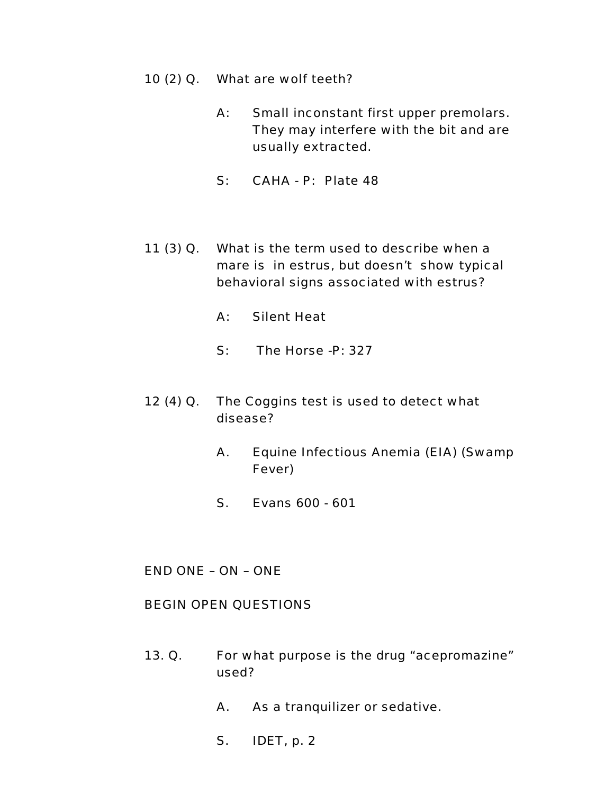- 10 (2) Q. What are wolf teeth?
	- A: Small inconstant first upper premolars. They may interfere with the bit and are usually extracted.
	- S: CAHA P: Plate 48
- 11 (3) Q. What is the term used to describe when a mare is in estrus, but doesn't show typical behavioral signs associated with estrus?
	- A: Silent Heat
	- S: The Horse -P: 327
- 12 (4) Q. The Coggins test is used to detect what disease?
	- A. Equine Infectious Anemia (EIA) (Swamp Fever)
	- S. Evans 600 601

END ONE – ON – ONE

#### BEGIN OPEN QUESTIONS

- 13. Q. For what purpose is the drug "acepromazine" used?
	- A. As a tranquilizer or sedative.
	- S. IDET, p. 2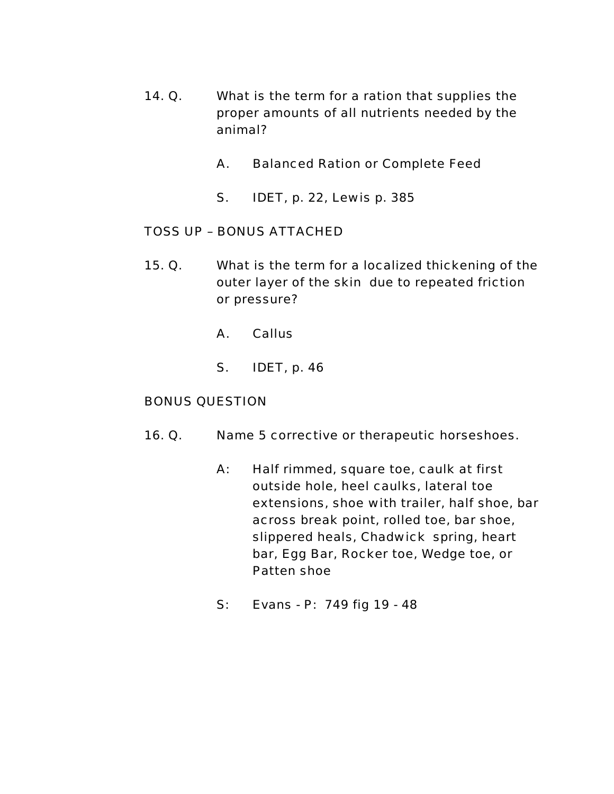- 14. Q. What is the term for a ration that supplies the proper amounts of all nutrients needed by the animal?
	- A. Balanced Ration or Complete Feed
	- S. IDET, p. 22, Lewis p. 385

- 15. Q. What is the term for a localized thickening of the outer layer of the skin due to repeated friction or pressure?
	- A. Callus
	- S. IDET, p. 46

#### BONUS QUESTION

- 16. Q. Name 5 corrective or therapeutic horseshoes.
	- A: Half rimmed, square toe, caulk at first outside hole, heel caulks, lateral toe extensions, shoe with trailer, half shoe, bar across break point, rolled toe, bar shoe, slippered heals, Chadwick spring, heart bar, Egg Bar, Rocker toe, Wedge toe, or Patten shoe
	- S: Evans P: 749 fig 19 48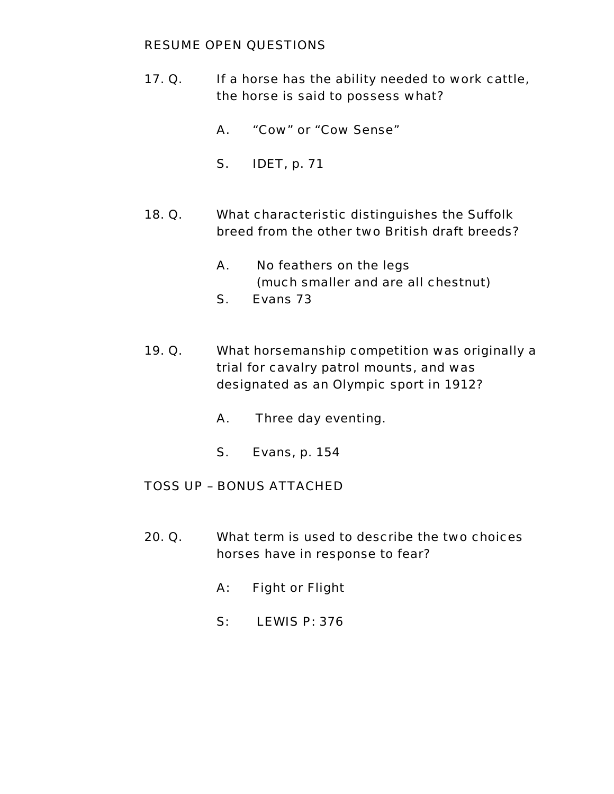### RESUME OPEN QUESTIONS

- 17. Q. If a horse has the ability needed to work cattle, the horse is said to possess what?
	- A. "Cow" or "Cow Sense"
	- S. IDET, p. 71
- 18. Q. What characteristic distinguishes the Suffolk breed from the other two British draft breeds?
	- A. No feathers on the legs (much smaller and are all chestnut)
	- S. Evans 73
- 19. Q. What horsemanship competition was originally a trial for cavalry patrol mounts, and was designated as an Olympic sport in 1912?
	- A. Three day eventing.
	- S. Evans, p. 154

# TOSS UP – BONUS ATTACHED

- 20. Q. What term is used to describe the two choices horses have in response to fear?
	- A: Fight or Flight
	- S: LEWIS P: 376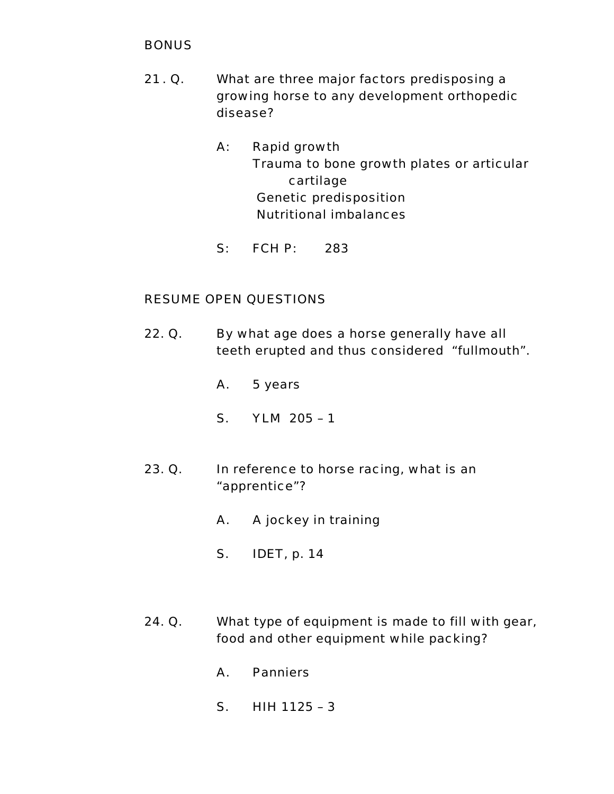# **BONUS**

- 21 . Q. What are three major factors predisposing a growing horse to any development orthopedic disease?
	- A: Rapid growth Trauma to bone growth plates or articular cartilage Genetic predisposition Nutritional imbalances
	- S: FCH P: 283

- 22. Q. By what age does a horse generally have all teeth erupted and thus considered "fullmouth".
	- A. 5 years
	- S. YLM 205 1
- 23. Q. In reference to horse racing, what is an "apprentice"?
	- A. A jockey in training
	- S. IDET, p. 14
- 24. Q. What type of equipment is made to fill with gear, food and other equipment while packing?
	- A. Panniers
	- S. HIH 1125 3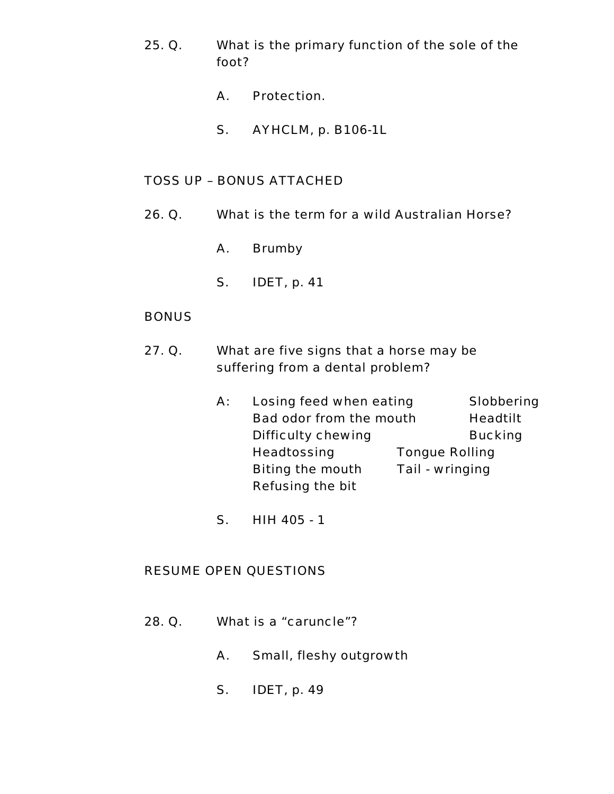- 25. Q. What is the primary function of the sole of the foot?
	- A. Protection.
	- S. AYHCLM, p. B106-1L

- 26. Q. What is the term for a wild Australian Horse?
	- A. Brumby
	- S. IDET, p. 41

## **BONUS**

- 27. Q. What are five signs that a horse may be suffering from a dental problem?
	- A: Losing feed when eating Slobbering Bad odor from the mouth Headtilt Difficulty chewing **Bucking**  Headtossing Tongue Rolling Biting the mouth Tail - wringing Refusing the bit
	- S. HIH 405 1

- 28. Q. What is a "caruncle"?
	- A. Small, fleshy outgrowth
	- S. IDET, p. 49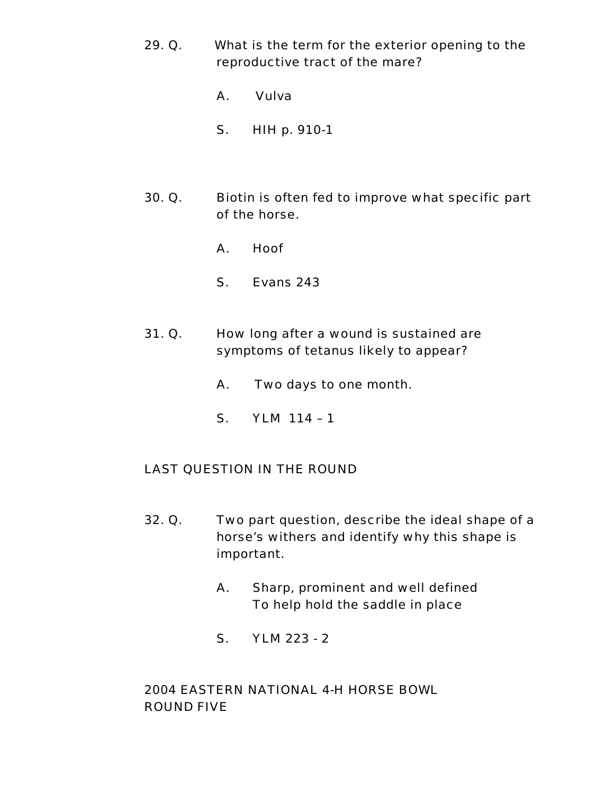- 29. Q. What is the term for the exterior opening to the reproductive tract of the mare?
	- A. Vulva
	- S. HIH p. 910-1
- 30. Q. Biotin is often fed to improve what specific part of the horse.
	- A. Hoof
	- S. Evans 243
- 31. Q. How long after a wound is sustained are symptoms of tetanus likely to appear?
	- A. Two days to one month.
	- S. YLM 114 1

# LAST QUESTION IN THE ROUND

- 32. Q. Two part question, describe the ideal shape of a horse's withers and identify why this shape is important.
	- A. Sharp, prominent and well defined To help hold the saddle in place
	- S. YLM 223 2

# 2004 EASTERN NATIONAL 4-H HORSE BOWL ROUND FIVE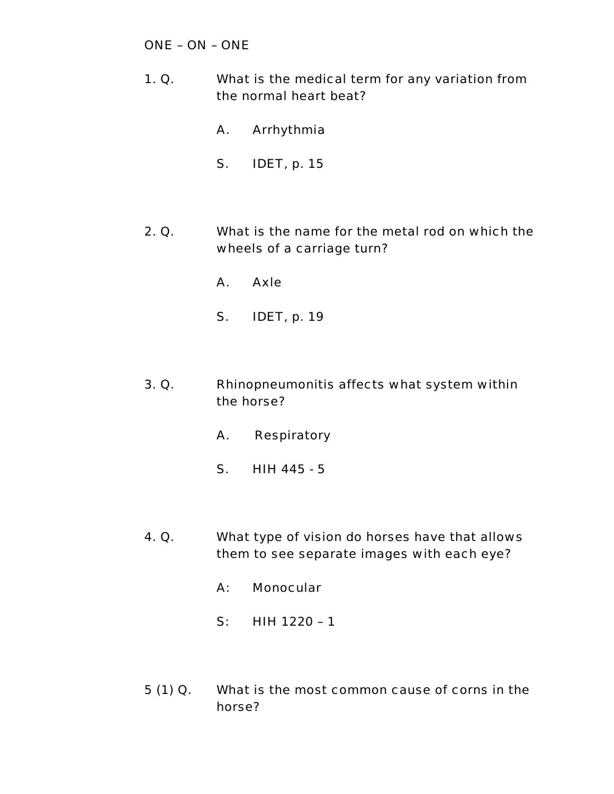# ONE – ON – ONE

- 1. Q. What is the medical term for any variation from the normal heart beat?
	- A. Arrhythmia
	- S. IDET, p. 15
- 2. Q. What is the name for the metal rod on which the wheels of a carriage turn?
	- A. Axle
	- S. IDET, p. 19
- 3. Q. Rhinopneumonitis affects what system within the horse?
	- A. Respiratory
	- S. HIH 445 5
- 4. Q. What type of vision do horses have that allows them to see separate images with each eye?
	- A: Monocular
	- S: HIH 1220 1
- 5 (1) Q. What is the most common cause of corns in the horse?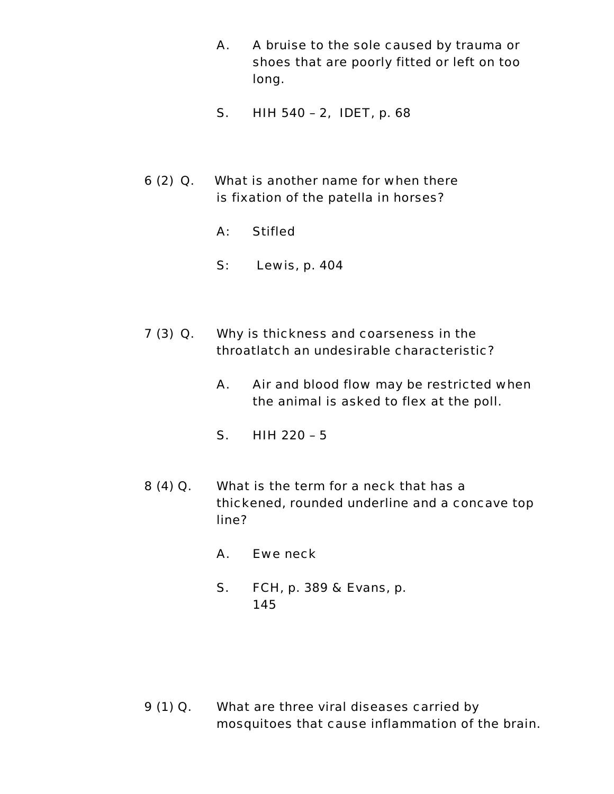- A. A bruise to the sole caused by trauma or shoes that are poorly fitted or left on too long.
- S. HIH 540 2, IDET, p. 68
- 6 (2) Q. What is another name for when there is fixation of the patella in horses?
	- A: Stifled
	- S: Lewis, p. 404
- 7 (3) Q. Why is thickness and coarseness in the throatlatch an undesirable characteristic?
	- A. Air and blood flow may be restricted when the animal is asked to flex at the poll.
	- S. HIH 220 5
- 8 (4) Q. What is the term for a neck that has a thickened, rounded underline and a concave top line?
	- A. Ewe neck
	- S. FCH, p. 389 & Evans, p. 145

9 (1) Q. What are three viral diseases carried by mosquitoes that cause inflammation of the brain.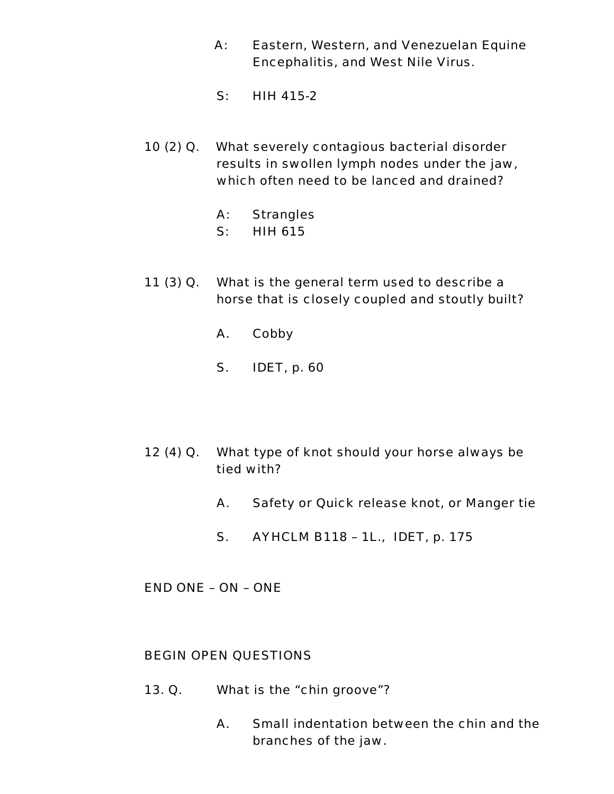- A: Eastern, Western, and Venezuelan Equine Encephalitis, and West Nile Virus.
- S: HIH 415-2
- 10 (2) Q. What severely contagious bacterial disorder results in swollen lymph nodes under the jaw, which often need to be lanced and drained?
	- A: Strangles
	- S: HIH 615
- 11 (3) Q. What is the general term used to describe a horse that is closely coupled and stoutly built?
	- A. Cobby
	- S. IDET, p. 60
- 12 (4) Q. What type of knot should your horse always be tied with?
	- A. Safety or Quick release knot, or Manger tie
	- S. AYHCLM B118 1L., IDET, p. 175

END ONE – ON – ONE

#### BEGIN OPEN QUESTIONS

- 13. Q. What is the "chin groove"?
	- A. Small indentation between the chin and the branches of the jaw.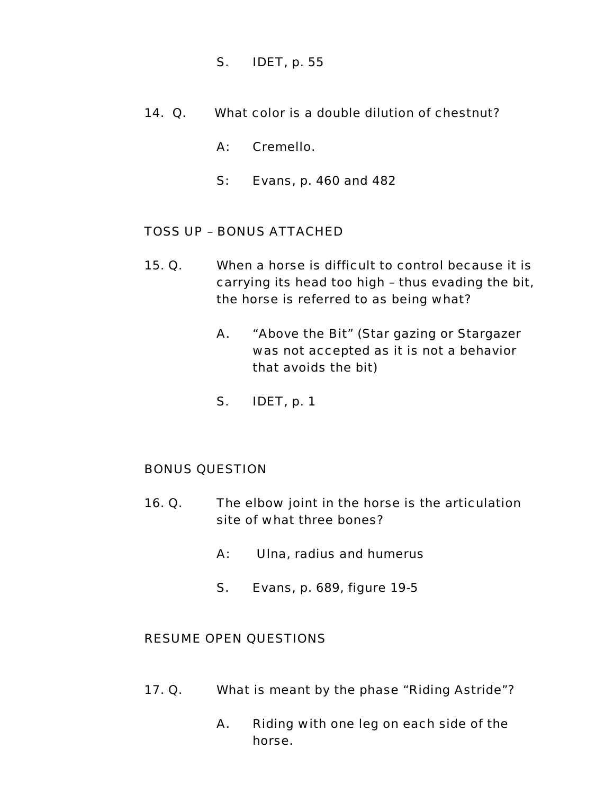- S. IDET, p. 55
- 14. Q. What color is a double dilution of chestnut?
	- A: Cremello.
	- S: Evans, p. 460 and 482

- 15. Q. When a horse is difficult to control because it is carrying its head too high – thus evading the bit, the horse is referred to as being what?
	- A. "Above the Bit" (Star gazing or Stargazer was not accepted as it is not a behavior that avoids the bit)
	- S. IDET, p. 1

## BONUS QUESTION

- 16. Q. The elbow joint in the horse is the articulation site of what three bones?
	- A: Ulna, radius and humerus
	- S. Evans, p. 689, figure 19-5

- 17. Q. What is meant by the phase "Riding Astride"?
	- A. Riding with one leg on each side of the horse.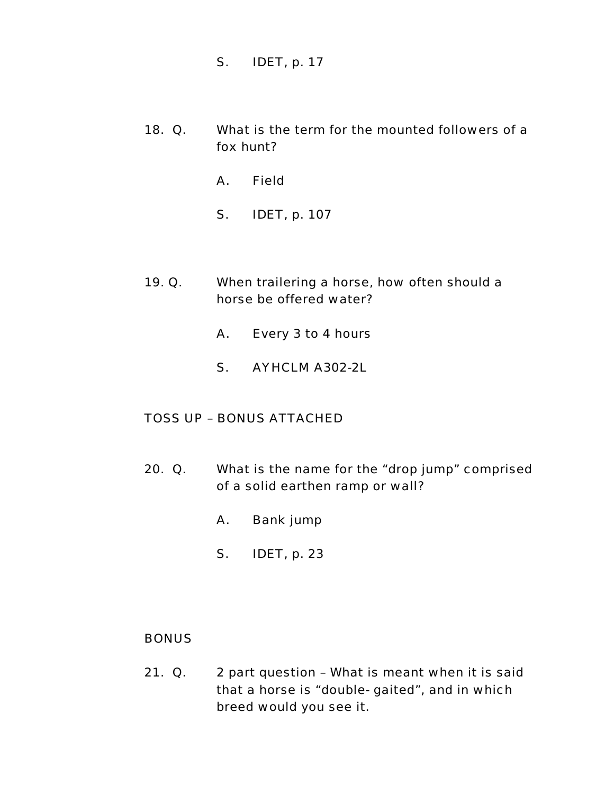- S. IDET, p. 17
- 18. Q. What is the term for the mounted followers of a fox hunt?
	- A. Field
	- S. IDET, p. 107
- 19. Q. When trailering a horse, how often should a horse be offered water?
	- A. Every 3 to 4 hours
	- S. AYHCLM A302-2L

- 20. Q. What is the name for the "drop jump" comprised of a solid earthen ramp or wall?
	- A. Bank jump
	- S. IDET, p. 23

#### BONUS

21. Q. 2 part question – What is meant when it is said that a horse is "double- gaited", and in which breed would you see it.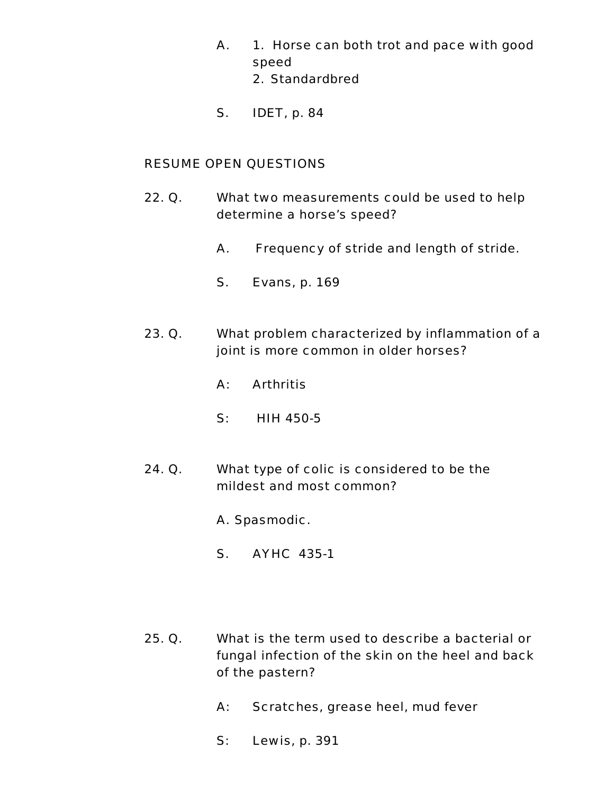- A. 1. Horse can both trot and pace with good speed
	- 2. Standardbred
- S. IDET, p. 84

- 22. Q. What two measurements could be used to help determine a horse's speed?
	- A. Frequency of stride and length of stride.
	- S. Evans, p. 169
- 23. Q. What problem characterized by inflammation of a joint is more common in older horses?
	- A: Arthritis
	- S: HIH 450-5
- 24. Q. What type of colic is considered to be the mildest and most common?
	- A. Spasmodic.
	- S. AYHC 435-1
- 25. Q. What is the term used to describe a bacterial or fungal infection of the skin on the heel and back of the pastern?
	- A: Scratches, grease heel, mud fever
	- S: Lewis, p. 391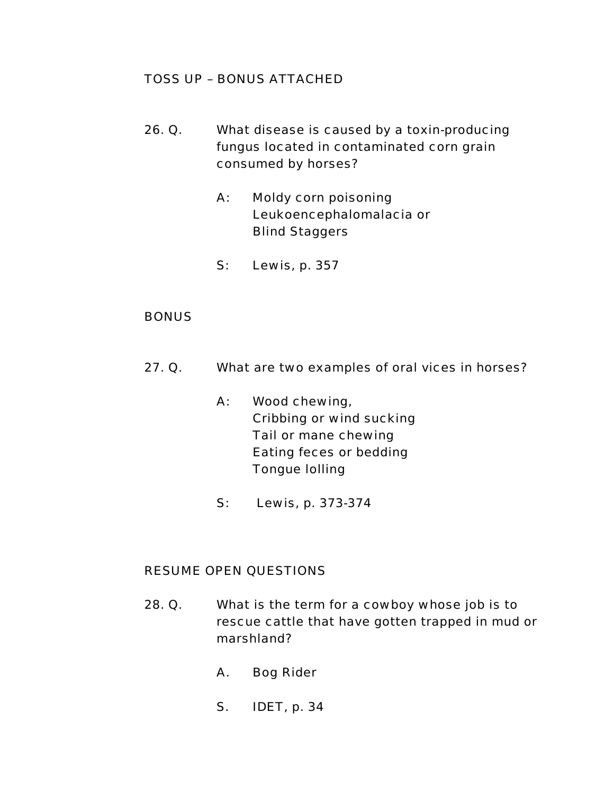- 26. Q. What disease is caused by a toxin-producing fungus located in contaminated corn grain consumed by horses?
	- A: Moldy corn poisoning Leukoencephalomalacia or Blind Staggers
	- S: Lewis, p. 357

## **BONUS**

- 27. Q. What are two examples of oral vices in horses?
	- A: Wood chewing, Cribbing or wind sucking Tail or mane chewing Eating feces or bedding Tongue lolling
	- S: Lewis, p. 373-374

- 28. Q. What is the term for a cowboy whose job is to rescue cattle that have gotten trapped in mud or marshland?
	- A. Bog Rider
	- S. IDET, p. 34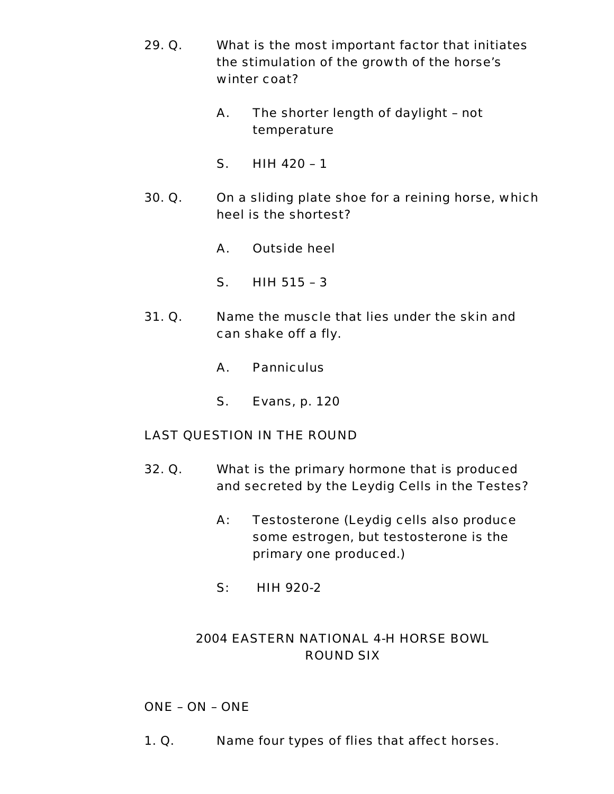- 29. Q. What is the most important factor that initiates the stimulation of the growth of the horse's winter coat?
	- A. The shorter length of daylight not temperature
	- S. HIH 420 1
- 30. Q. On a sliding plate shoe for a reining horse, which heel is the shortest?
	- A. Outside heel
	- S. HIH 515 3
- 31. Q. Name the muscle that lies under the skin and can shake off a fly.
	- A. Panniculus
	- S. Evans, p. 120

## LAST QUESTION IN THE ROUND

- 32. Q. What is the primary hormone that is produced and secreted by the Leydig Cells in the Testes?
	- A: Testosterone (Leydig cells also produce some estrogen, but testosterone is the primary one produced.)
	- S: HIH 920-2

# 2004 EASTERN NATIONAL 4-H HORSE BOWL ROUND SIX

## ONE – ON – ONE

1. Q. Name four types of flies that affect horses.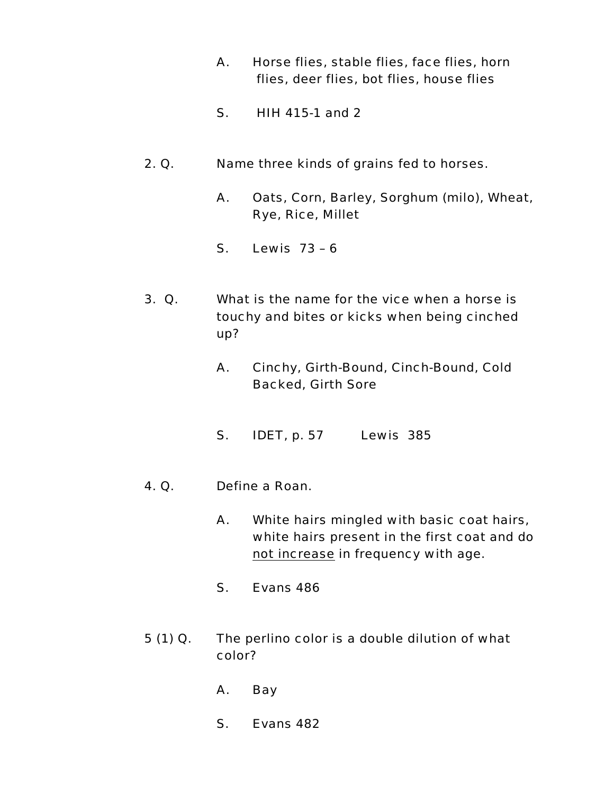- A. Horse flies, stable flies, face flies, horn flies, deer flies, bot flies, house flies
- S. HIH 415-1 and 2
- 2. Q. Name three kinds of grains fed to horses.
	- A. Oats, Corn, Barley, Sorghum (milo), Wheat, Rye, Rice, Millet
	- S. Lewis 73 6
- 3. Q. What is the name for the vice when a horse is touchy and bites or kicks when being cinched up?
	- A. Cinchy, Girth-Bound, Cinch-Bound, Cold Backed, Girth Sore
	- S. IDET, p. 57 Lewis 385
- 4. Q. Define a Roan.
	- A. White hairs mingled with basic coat hairs, white hairs present in the first coat and do not increase in frequency with age.
	- S. Evans 486
- 5 (1) Q. The perlino color is a double dilution of what color?
	- A. Bay
	- S. Evans 482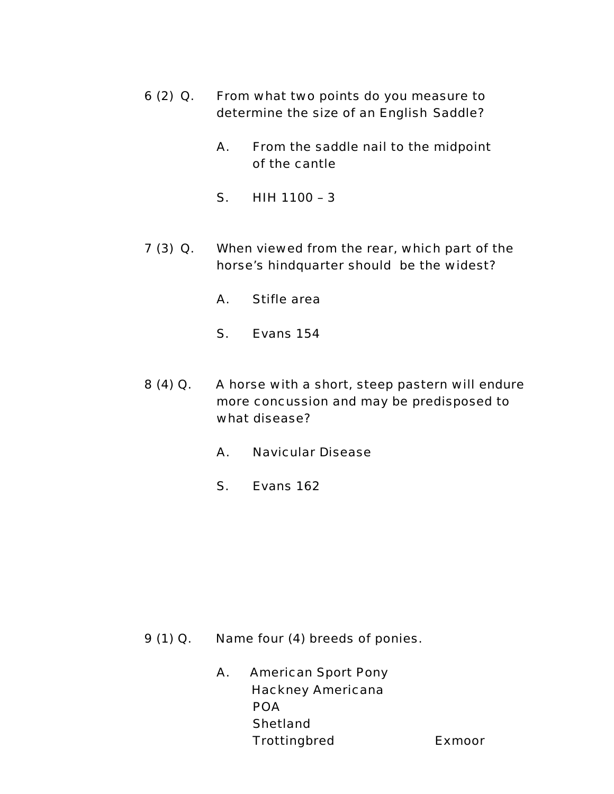- 6 (2) Q. From what two points do you measure to determine the size of an English Saddle?
	- A. From the saddle nail to the midpoint of the cantle
	- S. HIH 1100 3
- 7 (3) Q. When viewed from the rear, which part of the horse's hindquarter should be the widest?
	- A. Stifle area
	- S. Evans 154
- 8 (4) Q. A horse with a short, steep pastern will endure more concussion and may be predisposed to what disease?
	- A. Navicular Disease
	- S. Evans 162

- 9 (1) Q. Name four (4) breeds of ponies.
	- A. American Sport Pony Hackney Americana POA **Shetland** Trottingbred Exmoor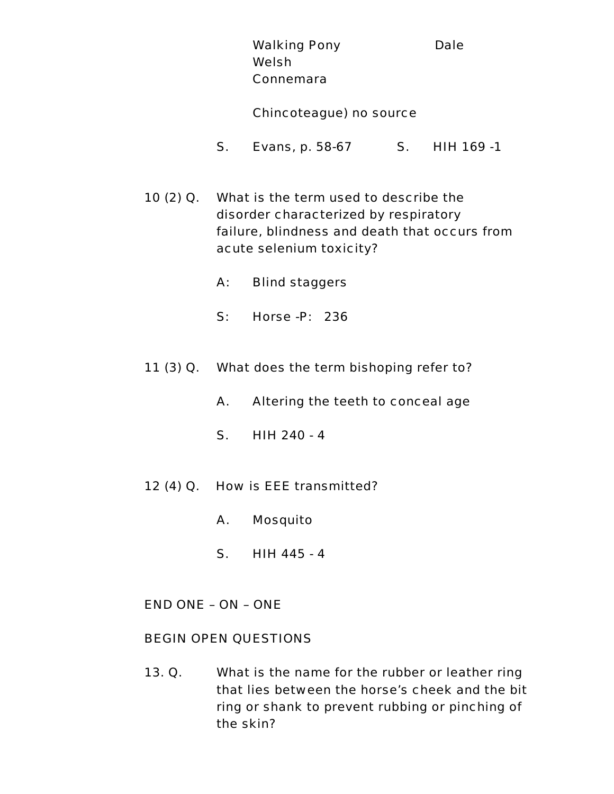Walking Pony **Dale**  Welsh Connemara

#### Chincoteague) no source

- S. Evans, p. 58-67 S. HIH 169 -1
- 10 (2) Q. What is the term used to describe the disorder characterized by respiratory failure, blindness and death that occurs from acute selenium toxicity?
	- A: Blind staggers
	- S: Horse -P: 236
- 11 (3) Q. What does the term bishoping refer to?
	- A. Altering the teeth to conceal age
	- S. HIH 240 4
- 12 (4) Q. How is EEE transmitted?
	- A. Mosquito
	- S. HIH 445 4
- END ONE ON ONE

### BEGIN OPEN QUESTIONS

13. Q. What is the name for the rubber or leather ring that lies between the horse's cheek and the bit ring or shank to prevent rubbing or pinching of the skin?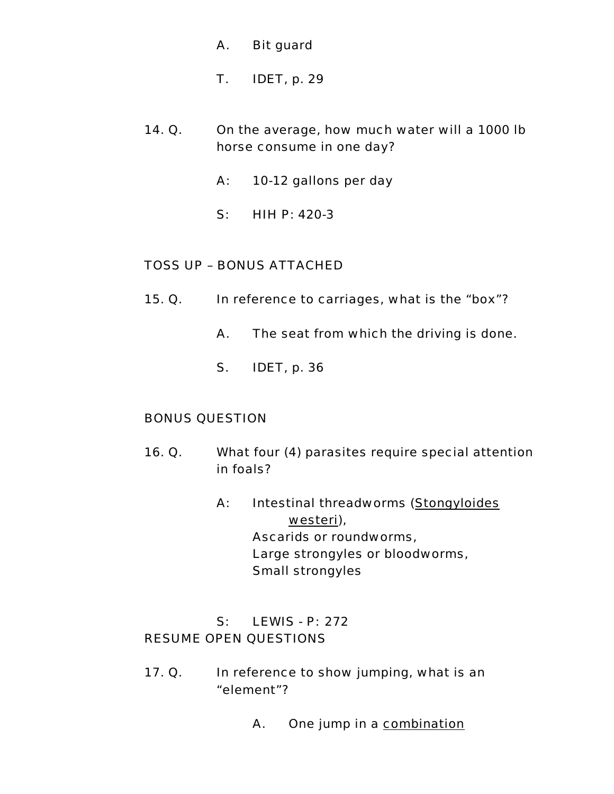- A. Bit guard
- T. IDET, p. 29
- 14. Q. On the average, how much water will a 1000 lb horse consume in one day?
	- A: 10-12 gallons per day
	- S: HIH P: 420-3

- 15. Q. In reference to carriages, what is the "box"?
	- A. The seat from which the driving is done.
	- S. IDET, p. 36

## BONUS QUESTION

- 16. Q. What four (4) parasites require special attention in foals?
	- A: Intestinal threadworms (Stongyloides westeri), Ascarids or roundworms, Large strongyles or bloodworms, Small strongyles

# S: LEWIS - P: 272 RESUME OPEN QUESTIONS

- 17. Q. In reference to show jumping, what is an "element"?
	- A. One jump in a combination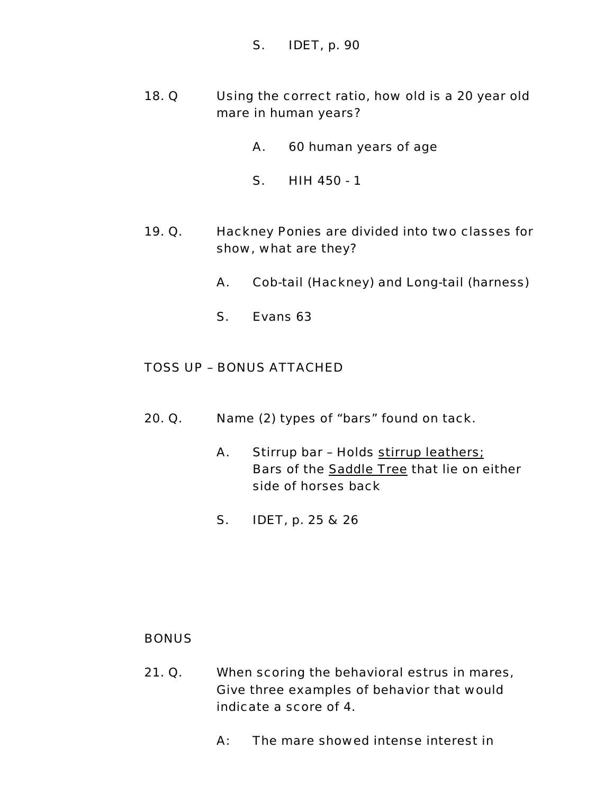### S. IDET, p. 90

- 18. Q Using the correct ratio, how old is a 20 year old mare in human years?
	- A. 60 human years of age
	- S. HIH 450 1
- 19. Q. Hackney Ponies are divided into two classes for show, what are they?
	- A. Cob-tail (Hackney) and Long-tail (harness)
	- S. Evans 63

### TOSS UP – BONUS ATTACHED

- 20. Q. Name (2) types of "bars" found on tack.
	- A. Stirrup bar Holds stirrup leathers; Bars of the Saddle Tree that lie on either side of horses back
	- S. IDET, p. 25 & 26

#### **BONUS**

- 21. Q. When scoring the behavioral estrus in mares, Give three examples of behavior that would indicate a score of 4.
	- A: The mare showed intense interest in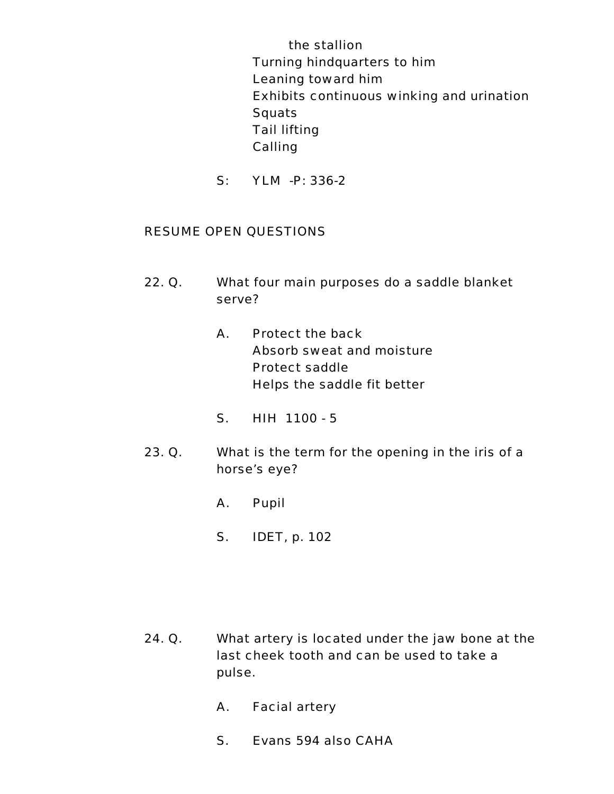the stallion Turning hindquarters to him Leaning toward him Exhibits continuous winking and urination **Squats**  Tail lifting Calling

S: YLM -P: 336-2

- 22. Q. What four main purposes do a saddle blanket serve?
	- A. Protect the back Absorb sweat and moisture Protect saddle Helps the saddle fit better
	- S. HIH 1100 5
- 23. Q. What is the term for the opening in the iris of a horse's eye?
	- A. Pupil
	- S. IDET, p. 102

- 24. Q. What artery is located under the jaw bone at the last cheek tooth and can be used to take a pulse.
	- A. Facial artery
	- S. Evans 594 also CAHA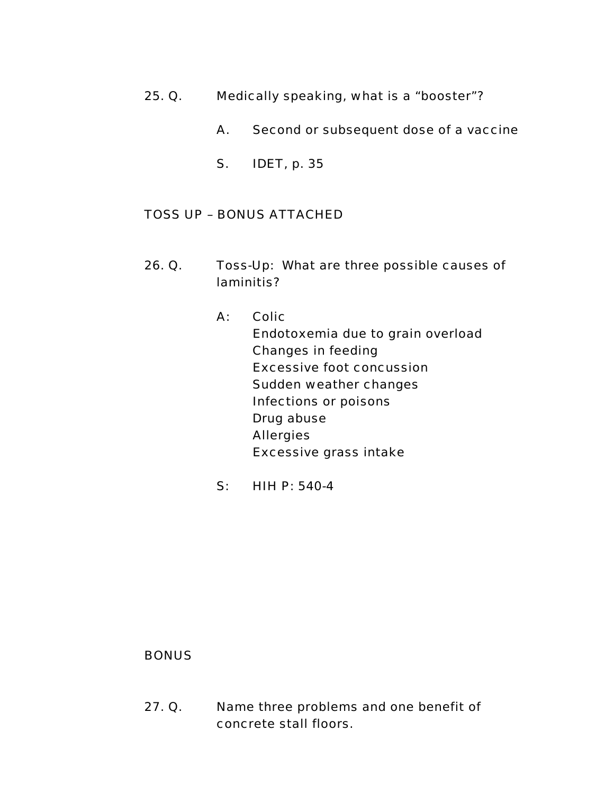- 25. Q. Medically speaking, what is a "booster"?
	- A. Second or subsequent dose of a vaccine
	- S. IDET, p. 35

- 26. Q. Toss-Up: What are three possible causes of laminitis?
	- A: Colic Endotoxemia due to grain overload Changes in feeding Excessive foot concussion Sudden weather changes Infections or poisons Drug abuse Allergies Excessive grass intake
	- S: HIH P: 540-4

#### **BONUS**

27. Q. Name three problems and one benefit of concrete stall floors.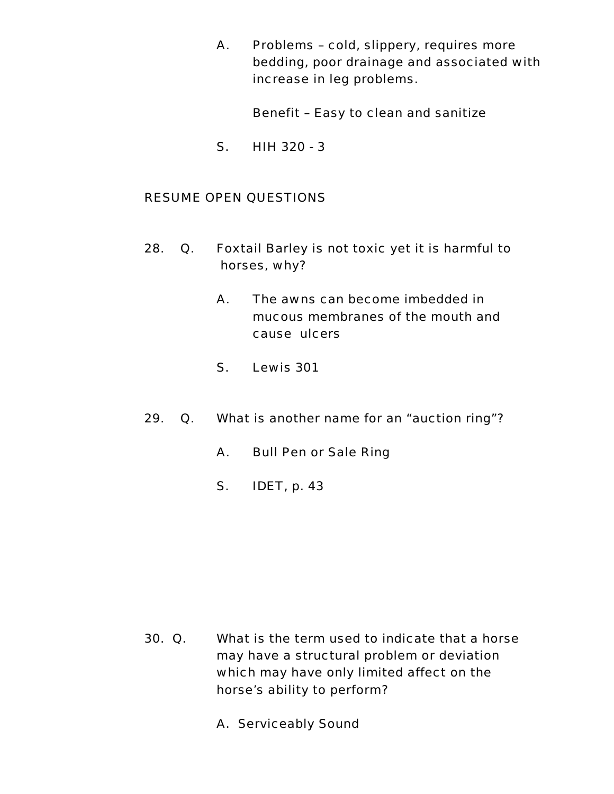A. Problems – cold, slippery, requires more bedding, poor drainage and associated with increase in leg problems.

Benefit – Easy to clean and sanitize

S. HIH 320 - 3

- 28. Q. Foxtail Barley is not toxic yet it is harmful to horses, why?
	- A. The awns can become imbedded in mucous membranes of the mouth and cause ulcers
	- S. Lewis 301
- 29. Q. What is another name for an "auction ring"?
	- A. Bull Pen or Sale Ring
	- S. IDET, p. 43

- 30. Q. What is the term used to indicate that a horse may have a structural problem or deviation which may have only limited affect on the horse's ability to perform?
	- A. Serviceably Sound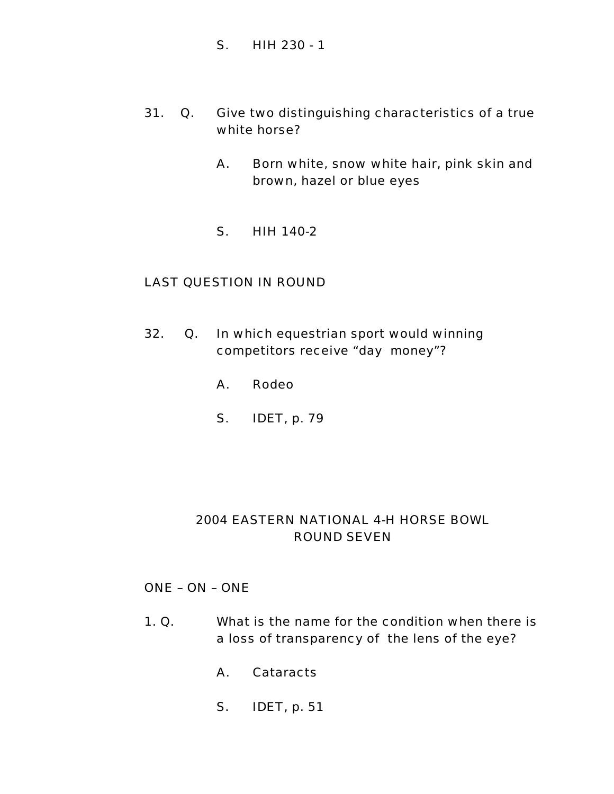- S. HIH 230 1
- 31. Q. Give two distinguishing characteristics of a true white horse?
	- A. Born white, snow white hair, pink skin and brown, hazel or blue eyes
	- S. HIH 140-2

#### LAST QUESTION IN ROUND

- 32. Q. In which equestrian sport would winning competitors receive "day money"?
	- A. Rodeo
	- S. IDET, p. 79

# 2004 EASTERN NATIONAL 4-H HORSE BOWL ROUND SEVEN

#### ONE – ON – ONE

- 1. Q. What is the name for the condition when there is a loss of transparency of the lens of the eye?
	- A. Cataracts
	- S. IDET, p. 51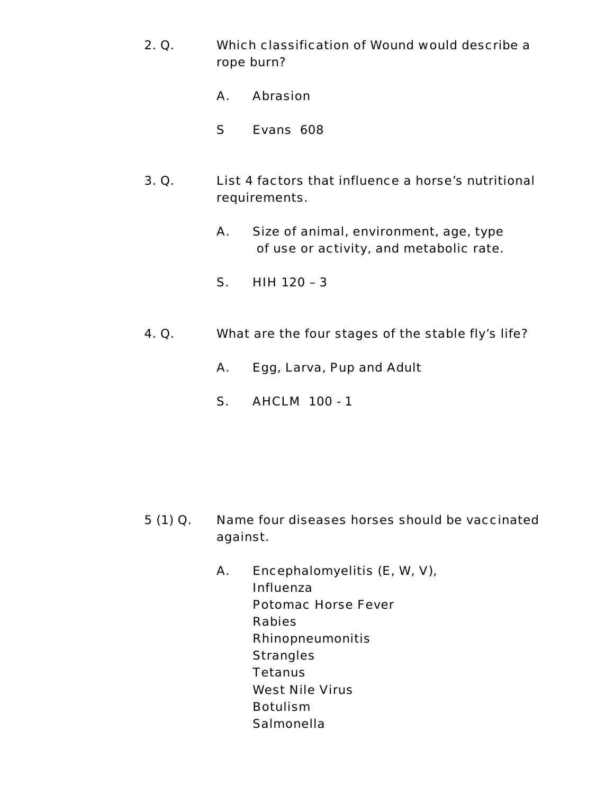- 2. Q. Which classification of Wound would describe a rope burn?
	- A. Abrasion
	- S Evans 608
- 3. Q. List 4 factors that influence a horse's nutritional requirements.
	- A. Size of animal, environment, age, type of use or activity, and metabolic rate.
	- S. HIH 120 3
- 4. Q. What are the four stages of the stable fly's life?
	- A. Egg, Larva, Pup and Adult
	- S. AHCLM 100 1

- 5 (1) Q. Name four diseases horses should be vaccinated against.
	- A. Encephalomyelitis (E, W, V), Influenza Potomac Horse Fever Rabies Rhinopneumonitis **Strangles Tetanus** West Nile Virus Botulism **Salmonella**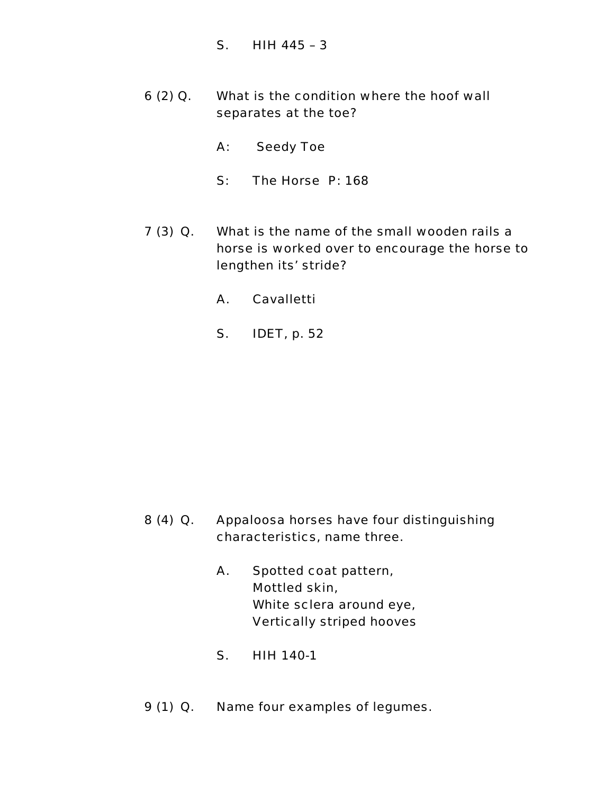- S. HIH 445 3
- 6 (2) Q. What is the condition where the hoof wall separates at the toe?
	- A: Seedy Toe
	- S: The Horse P: 168
- 7 (3) Q. What is the name of the small wooden rails a horse is worked over to encourage the horse to lengthen its' stride?
	- A. Cavalletti
	- S. IDET, p. 52

- 8 (4) Q. Appaloosa horses have four distinguishing characteristics, name three.
	- A. Spotted coat pattern, Mottled skin, White sclera around eye, Vertically striped hooves
	- S. HIH 140-1
- 9 (1) Q. Name four examples of legumes.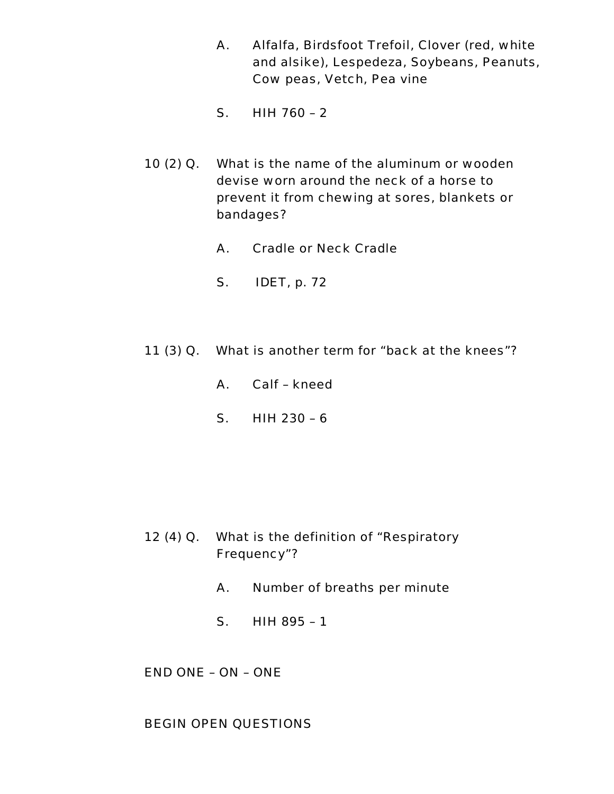- A. Alfalfa, Birdsfoot Trefoil, Clover (red, white and alsike), Lespedeza, Soybeans, Peanuts, Cow peas, Vetch, Pea vine
- S. HIH 760 2
- 10 (2) Q. What is the name of the aluminum or wooden devise worn around the neck of a horse to prevent it from chewing at sores, blankets or bandages?
	- A. Cradle or Neck Cradle
	- S. IDET, p. 72
- 11 (3) Q. What is another term for "back at the knees"?
	- A. Calf kneed
	- S. HIH 230 6

- 12 (4) Q. What is the definition of "Respiratory Frequency"?
	- A. Number of breaths per minute
	- S. HIH 895 1

END ONE – ON – ONE

BEGIN OPEN QUESTIONS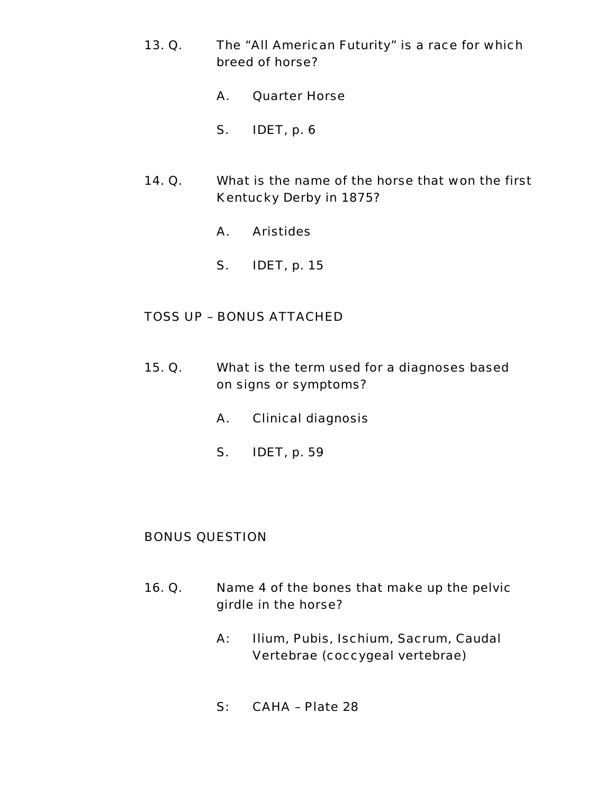- 13. Q. The "All American Futurity" is a race for which breed of horse?
	- A. Quarter Horse
	- S. IDET, p. 6
- 14. Q. What is the name of the horse that won the first Kentucky Derby in 1875?
	- A. Aristides
	- S. IDET, p. 15

- 15. Q. What is the term used for a diagnoses based on signs or symptoms?
	- A. Clinical diagnosis
	- S. IDET, p. 59

#### BONUS QUESTION

- 16. Q. Name 4 of the bones that make up the pelvic girdle in the horse?
	- A: Ilium, Pubis, Ischium, Sacrum, Caudal Vertebrae (coccygeal vertebrae)
	- S: CAHA Plate 28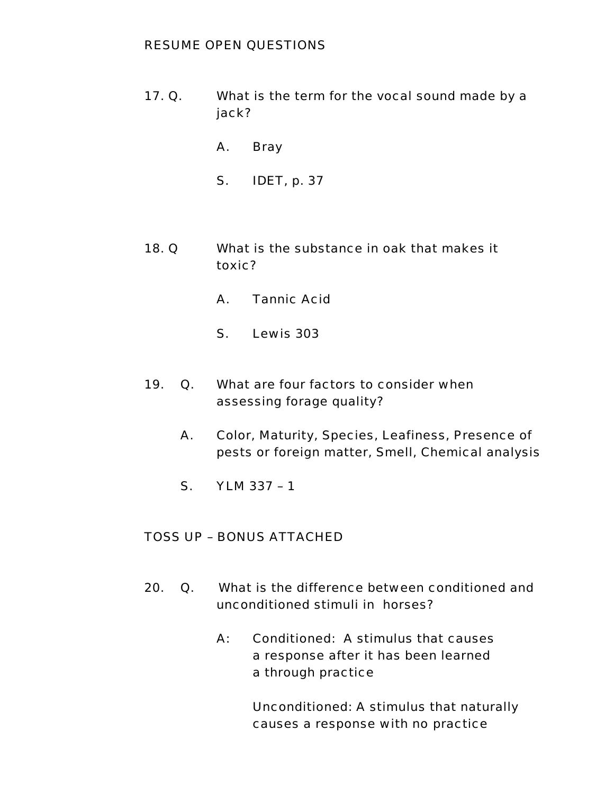### RESUME OPEN QUESTIONS

- 17. Q. What is the term for the vocal sound made by a jack?
	- A. Bray
	- S. IDET, p. 37
- 18. Q What is the substance in oak that makes it toxic?
	- A. Tannic Acid
	- S. Lewis 303
- 19. Q. What are four factors to consider when assessing forage quality?
	- A. Color, Maturity, Species, Leafiness, Presence of pests or foreign matter, Smell, Chemical analysis
	- S. YLM 337 1

## TOSS UP – BONUS ATTACHED

- 20. Q. What is the difference between conditioned and unconditioned stimuli in horses?
	- A: Conditioned: A stimulus that causes a response after it has been learned a through practice

Unconditioned: A stimulus that naturally causes a response with no practice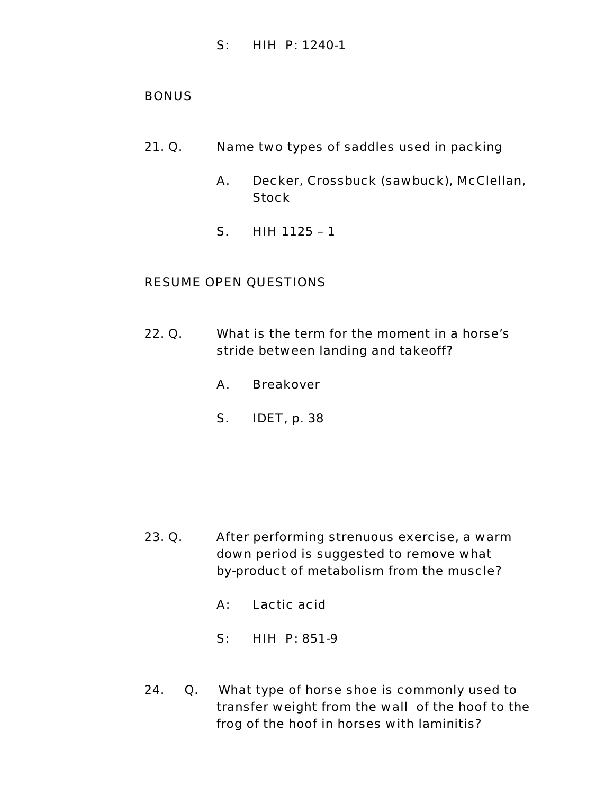S: HIH P: 1240-1

### **BONUS**

- 21. Q. Name two types of saddles used in packing
	- A. Decker, Crossbuck (sawbuck), McClellan, Stock
	- S. HIH 1125 1

- 22. Q. What is the term for the moment in a horse's stride between landing and takeoff?
	- A. Breakover
	- S. IDET, p. 38

- 23. Q. After performing strenuous exercise, a warm down period is suggested to remove what by-product of metabolism from the muscle?
	- A: Lactic acid
	- S: HIH P: 851-9
- 24. Q. What type of horse shoe is commonly used to transfer weight from the wall of the hoof to the frog of the hoof in horses with laminitis?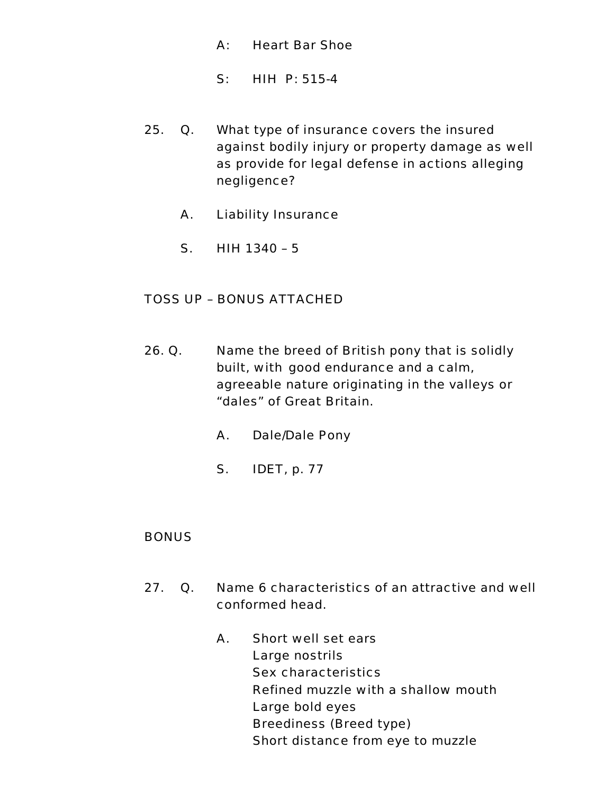- A: Heart Bar Shoe
- S: HIH P: 515-4
- 25. Q. What type of insurance covers the insured against bodily injury or property damage as well as provide for legal defense in actions alleging negligence?
	- A. Liability Insurance
	- S. HIH 1340 5

- 26. Q. Name the breed of British pony that is solidly built, with good endurance and a calm, agreeable nature originating in the valleys or "dales" of Great Britain.
	- A. Dale/Dale Pony
	- S. IDET, p. 77

#### **BONUS**

- 27. Q. Name 6 characteristics of an attractive and well conformed head.
	- A. Short well set ears Large nostrils Sex characteristics Refined muzzle with a shallow mouth Large bold eyes Breediness (Breed type) Short distance from eye to muzzle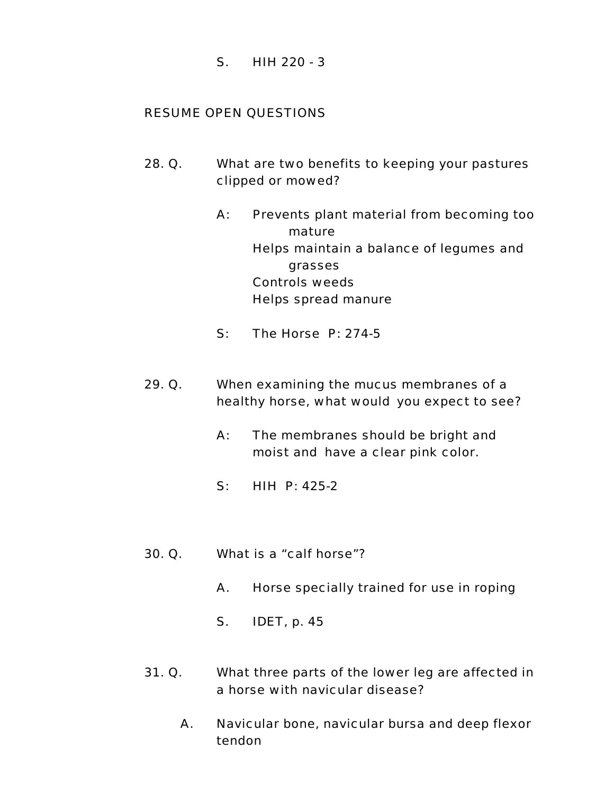S. HIH 220 - 3

- 28. Q. What are two benefits to keeping your pastures clipped or mowed?
	- A: Prevents plant material from becoming too mature Helps maintain a balance of legumes and grasses Controls weeds Helps spread manure
	- S: The Horse P: 274-5
- 29. Q. When examining the mucus membranes of a healthy horse, what would you expect to see?
	- A: The membranes should be bright and moist and have a clear pink color.
	- S: HIH P: 425-2
- 30. Q. What is a "calf horse"?
	- A. Horse specially trained for use in roping
	- S. IDET, p. 45
- 31. Q. What three parts of the lower leg are affected in a horse with navicular disease?
	- A. Navicular bone, navicular bursa and deep flexor tendon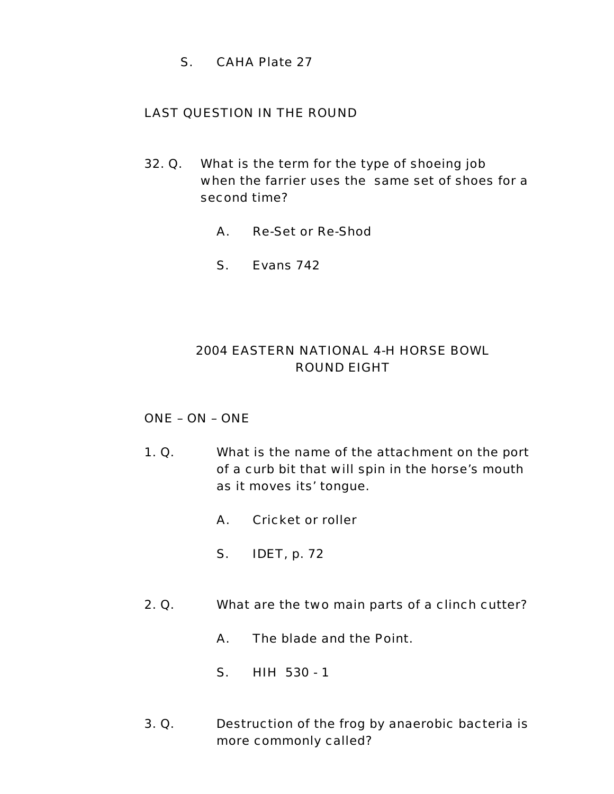S. CAHA Plate 27

## LAST QUESTION IN THE ROUND

- 32. Q. What is the term for the type of shoeing job when the farrier uses the same set of shoes for a second time?
	- A. Re-Set or Re-Shod
	- S. Evans 742

# 2004 EASTERN NATIONAL 4-H HORSE BOWL ROUND EIGHT

## ONE – ON – ONE

- 1. Q. What is the name of the attachment on the port of a curb bit that will spin in the horse's mouth as it moves its' tongue.
	- A. Cricket or roller
	- S. IDET, p. 72
- 2. Q. What are the two main parts of a clinch cutter?
	- A. The blade and the Point.
	- S. HIH 530 1
- 3. Q. Destruction of the frog by anaerobic bacteria is more commonly called?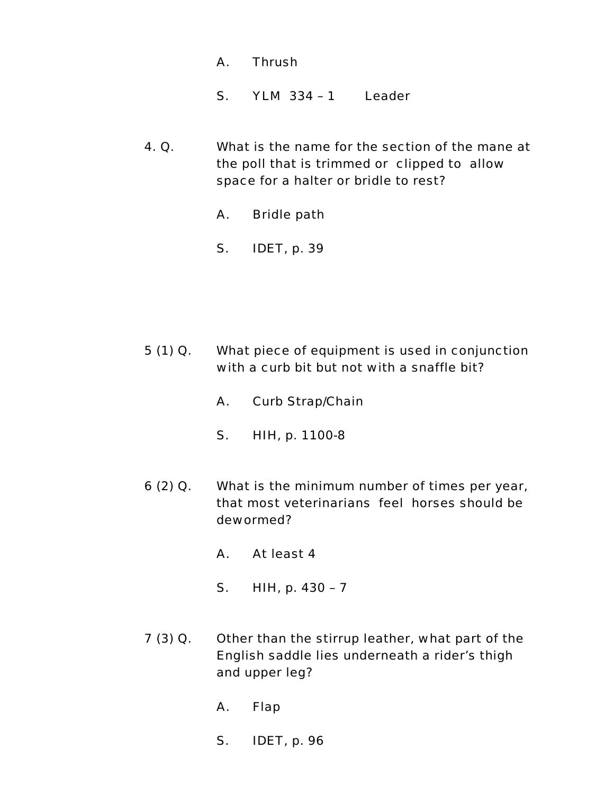- A. Thrush S. YLM 334 – 1 Leader
- 4. Q. What is the name for the section of the mane at the poll that is trimmed or clipped to allow space for a halter or bridle to rest?
	- A. Bridle path
	- S. IDET, p. 39

- 5 (1) Q. What piece of equipment is used in conjunction with a curb bit but not with a snaffle bit?
	- A. Curb Strap/Chain
	- S. HIH, p. 1100-8
- 6 (2) Q. What is the minimum number of times per year, that most veterinarians feel horses should be dewormed?
	- A. At least 4
	- S. HIH, p. 430 7
- 7 (3) Q. Other than the stirrup leather, what part of the English saddle lies underneath a rider's thigh and upper leg?
	- A. Flap
	- S. IDET, p. 96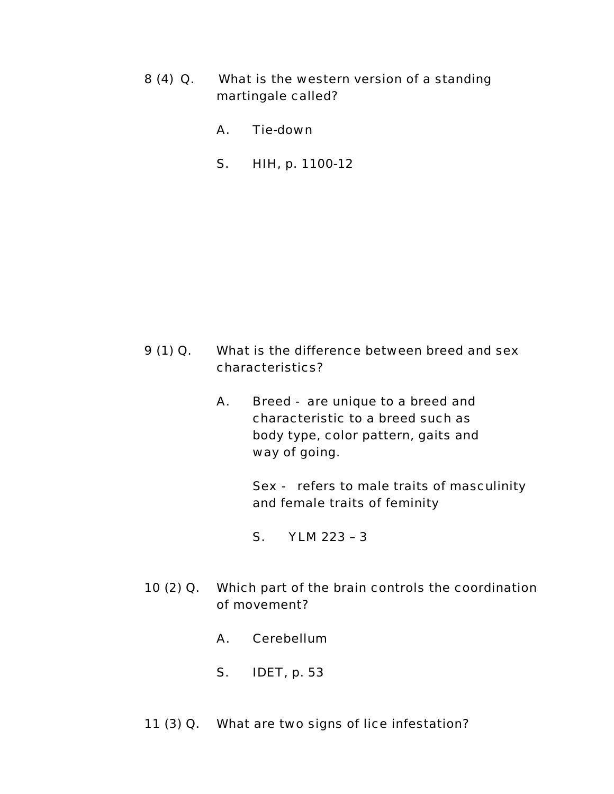- 8 (4) Q. What is the western version of a standing martingale called?
	- A. Tie-down
	- S. HIH, p. 1100-12

- 9 (1) Q. What is the difference between breed and sex characteristics?
	- A. Breed are unique to a breed and characteristic to a breed such as body type, color pattern, gaits and way of going.

Sex - refers to male traits of masculinity and female traits of feminity

S. YLM 223 – 3

- 10 (2) Q. Which part of the brain controls the coordination of movement?
	- A. Cerebellum
	- S. IDET, p. 53
- 11 (3) Q. What are two signs of lice infestation?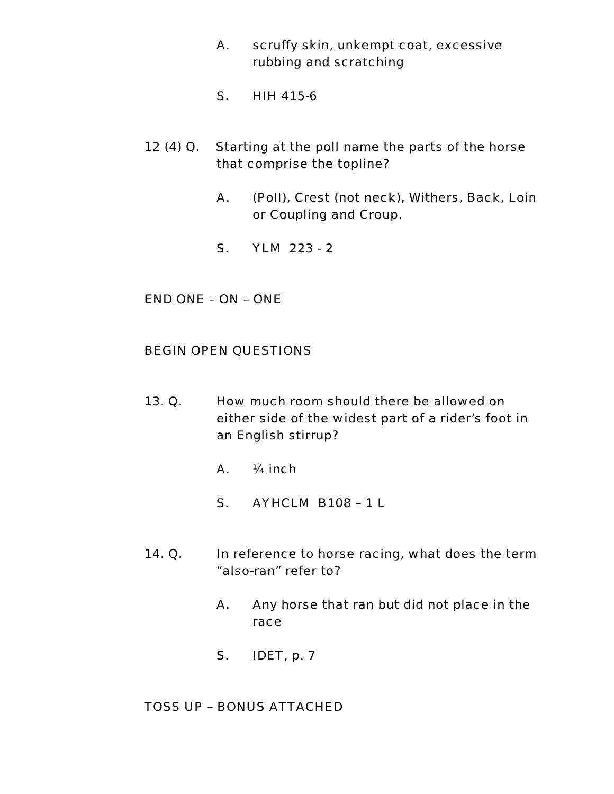- A. scruffy skin, unkempt coat, excessive rubbing and scratching
- S. HIH 415-6
- 12 (4) Q. Starting at the poll name the parts of the horse that comprise the topline?
	- A. (Poll), Crest (not neck), Withers, Back, Loin or Coupling and Croup.
	- S. YLM 223 2

END ONE – ON – ONE

#### BEGIN OPEN QUESTIONS

- 13. Q. How much room should there be allowed on either side of the widest part of a rider's foot in an English stirrup?
	- A. ¼ inch
	- S. AYHCLM B108 1 L
- 14. Q. In reference to horse racing, what does the term "also-ran" refer to?
	- A. Any horse that ran but did not place in the race
	- S. IDET, p. 7

### TOSS UP – BONUS ATTACHED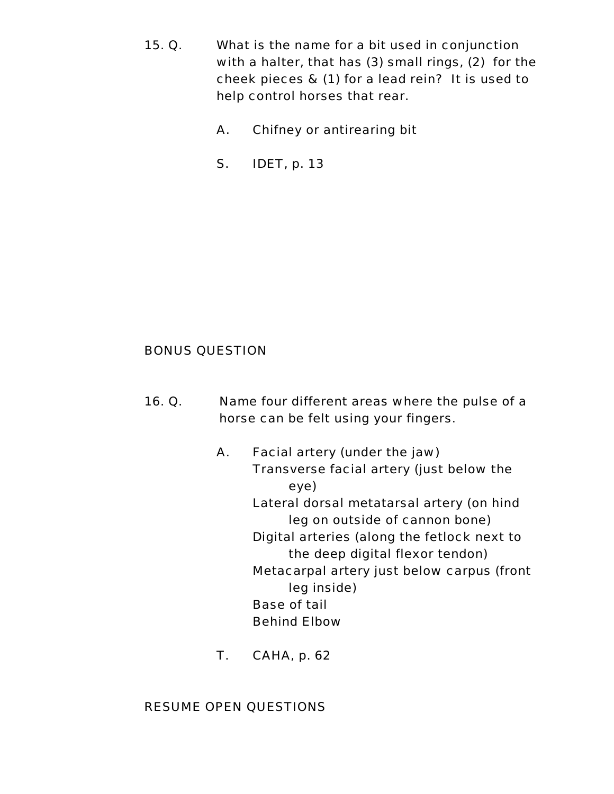- 15. Q. What is the name for a bit used in conjunction with a halter, that has (3) small rings, (2) for the cheek pieces & (1) for a lead rein? It is used to help control horses that rear.
	- A. Chifney or antirearing bit
	- S. IDET, p. 13

### BONUS QUESTION

- 16. Q. Name four different areas where the pulse of a horse can be felt using your fingers.
	- A. Facial artery (under the jaw) Transverse facial artery (just below the eye) Lateral dorsal metatarsal artery (on hind leg on outside of cannon bone) Digital arteries (along the fetlock next to the deep digital flexor tendon) Metacarpal artery just below carpus (front leg inside) Base of tail Behind Elbow
	- T. CAHA, p. 62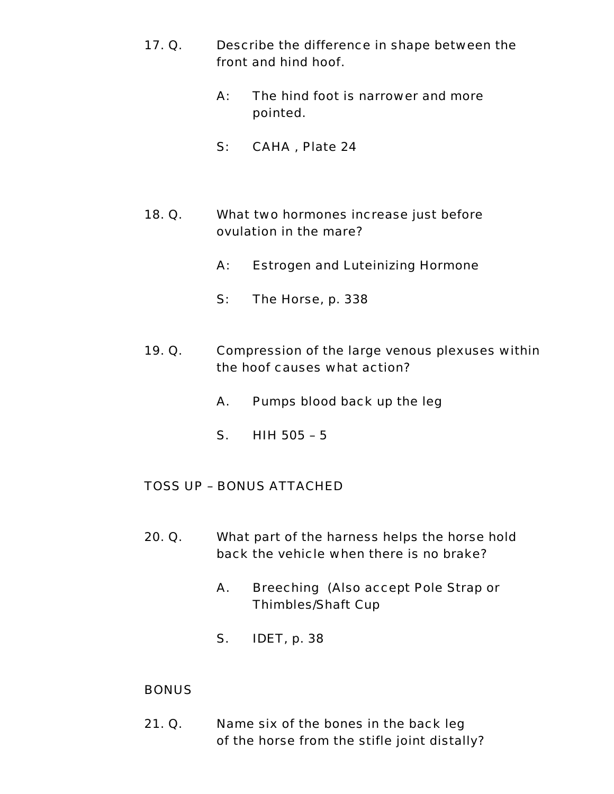- 17. Q. Describe the difference in shape between the front and hind hoof.
	- A: The hind foot is narrower and more pointed.
	- S: CAHA , Plate 24
- 18. Q. What two hormones increase just before ovulation in the mare?
	- A: Estrogen and Luteinizing Hormone
	- S: The Horse, p. 338
- 19. Q. Compression of the large venous plexuses within the hoof causes what action?
	- A. Pumps blood back up the leg
	- S. HIH 505 5

- 20. Q. What part of the harness helps the horse hold back the vehicle when there is no brake?
	- A. Breeching (Also accept Pole Strap or Thimbles/Shaft Cup
	- S. IDET, p. 38

#### **BONUS**

21. Q. Name six of the bones in the back leg of the horse from the stifle joint distally?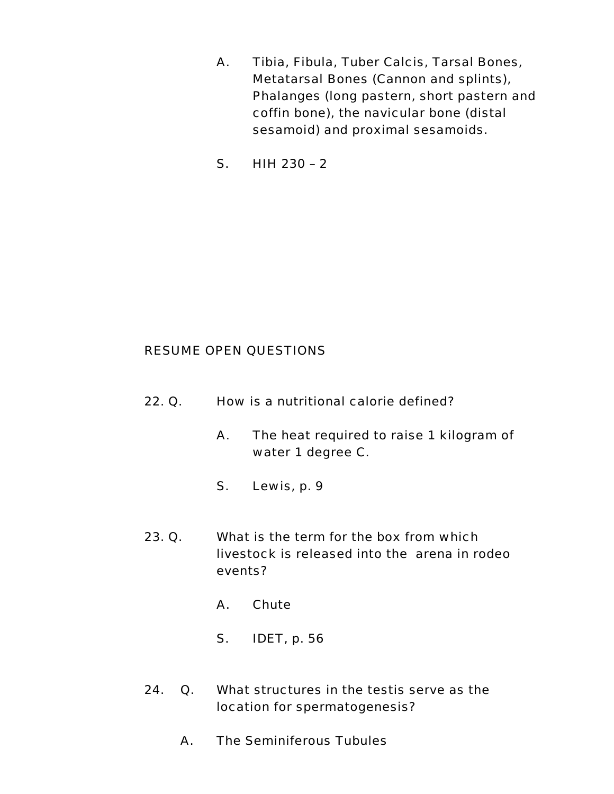- A. Tibia, Fibula, Tuber Calcis, Tarsal Bones, Metatarsal Bones (Cannon and splints), Phalanges (long pastern, short pastern and coffin bone), the navicular bone (distal sesamoid) and proximal sesamoids.
- S. HIH 230 2

- 22. Q. How is a nutritional calorie defined?
	- A. The heat required to raise 1 kilogram of water 1 degree C.
	- S. Lewis, p. 9
- 23. Q. What is the term for the box from which livestock is released into the arena in rodeo events?
	- A. Chute
	- S. IDET, p. 56
- 24. Q. What structures in the testis serve as the location for spermatogenesis?
	- A. The Seminiferous Tubules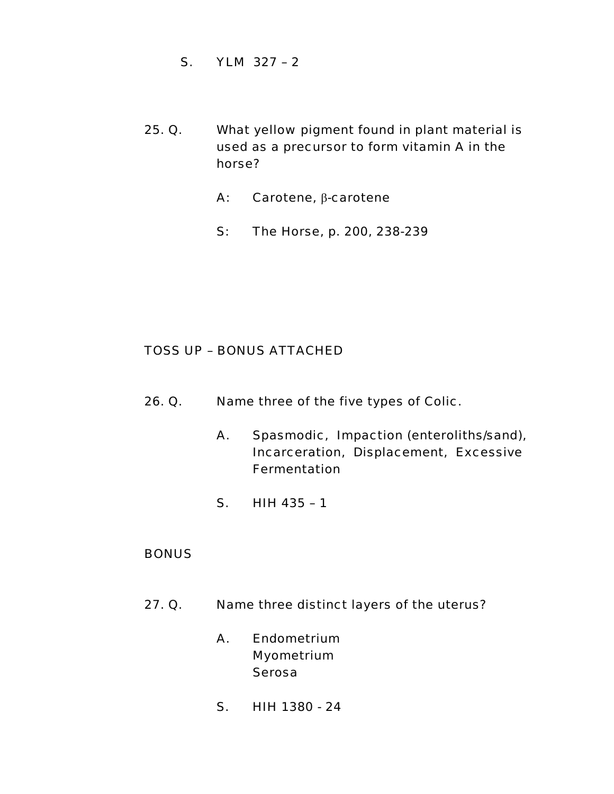- S. YLM 327 2
- 25. Q. What yellow pigment found in plant material is used as a precursor to form vitamin A in the horse?
	- A: Carotene, β-carotene
	- S: The Horse, p. 200, 238-239

- 26. Q. Name three of the five types of Colic.
	- A. Spasmodic, Impaction (enteroliths/sand), Incarceration, Displacement, Excessive Fermentation
	- S. HIH 435 1

#### **BONUS**

- 27. Q. Name three distinct layers of the uterus?
	- A. Endometrium Myometrium Serosa
	- S. HIH 1380 24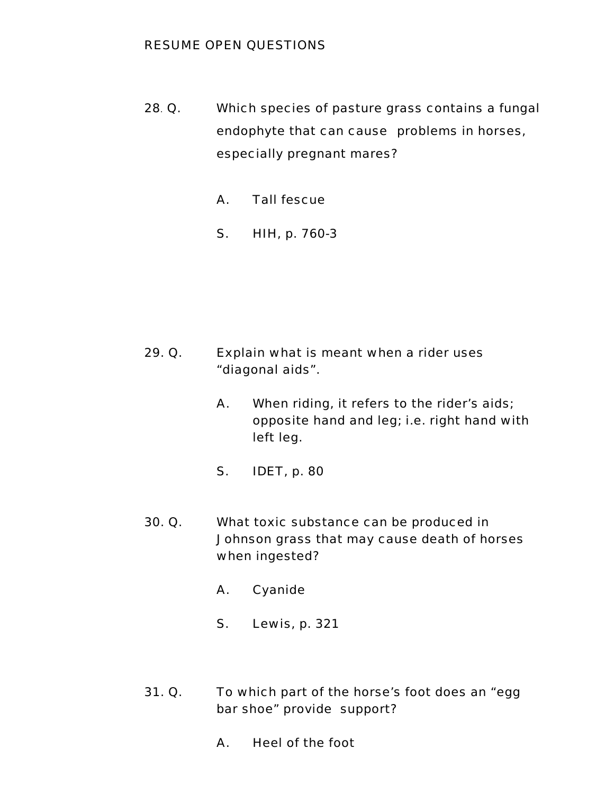- 28. Q. Which species of pasture grass contains a fungal endophyte that can cause problems in horses, especially pregnant mares?
	- A. Tall fescue
	- S. HIH, p. 760-3

- 29. Q. Explain what is meant when a rider uses "diagonal aids".
	- A. When riding, it refers to the rider's aids; opposite hand and leg; i.e. right hand with left leg.
	- S. IDET, p. 80
- 30. Q. What toxic substance can be produced in Johnson grass that may cause death of horses when ingested?
	- A. Cyanide
	- S. Lewis, p. 321
- 31. Q. To which part of the horse's foot does an "egg bar shoe" provide support?
	- A. Heel of the foot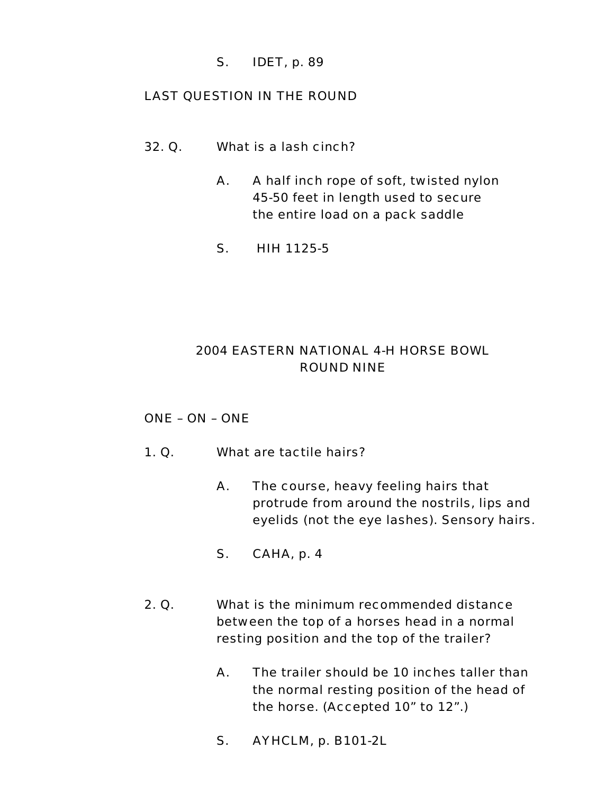### S. IDET, p. 89

### LAST QUESTION IN THE ROUND

- 32. Q. What is a lash cinch?
	- A. A half inch rope of soft, twisted nylon 45-50 feet in length used to secure the entire load on a pack saddle
	- S. HIH 1125-5

# 2004 EASTERN NATIONAL 4-H HORSE BOWL ROUND NINE

### ONE – ON – ONE

- 1. Q. What are tactile hairs?
	- A. The course, heavy feeling hairs that protrude from around the nostrils, lips and eyelids (not the eye lashes). Sensory hairs.
	- S. CAHA, p. 4
- 2. Q. What is the minimum recommended distance between the top of a horses head in a normal resting position and the top of the trailer?
	- A. The trailer should be 10 inches taller than the normal resting position of the head of the horse. (Accepted 10" to 12".)
	- S. AYHCLM, p. B101-2L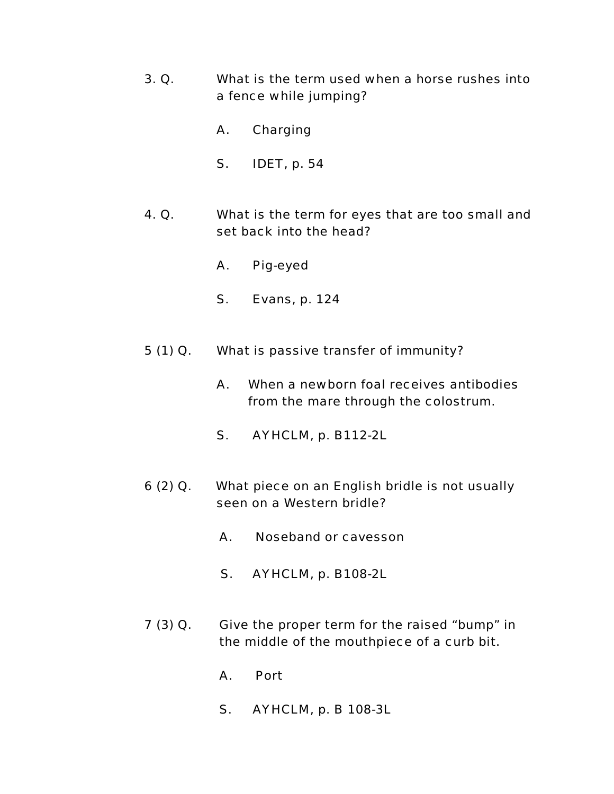- 3. Q. What is the term used when a horse rushes into a fence while jumping?
	- A. Charging
	- S. IDET, p. 54
- 4. Q. What is the term for eyes that are too small and set back into the head?
	- A. Pig-eyed
	- S. Evans, p. 124
- 5 (1) Q. What is passive transfer of immunity?
	- A. When a newborn foal receives antibodies from the mare through the colostrum.
	- S. AYHCLM, p. B112-2L
- 6 (2) Q. What piece on an English bridle is not usually seen on a Western bridle?
	- A. Noseband or cavesson
	- S. AYHCLM, p. B108-2L
- 7 (3) Q. Give the proper term for the raised "bump" in the middle of the mouthpiece of a curb bit.
	- A. Port
	- S. AYHCLM, p. B 108-3L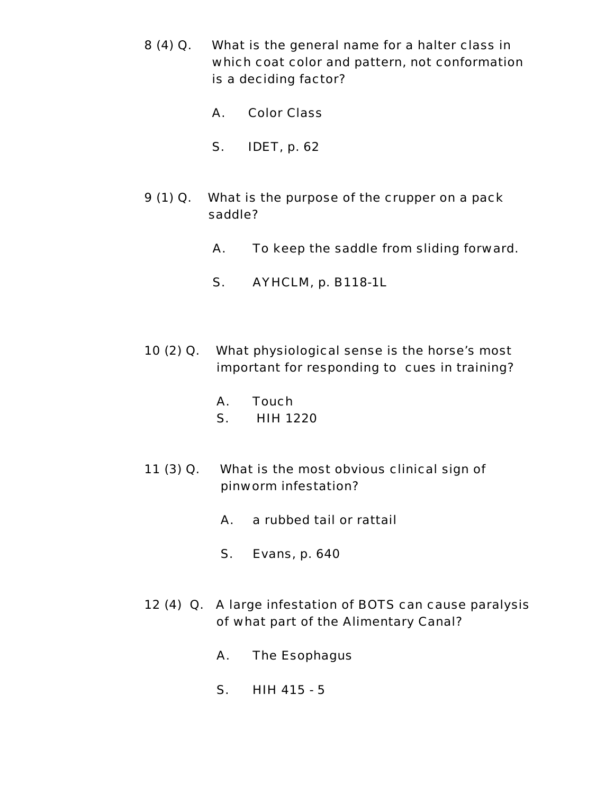- 8 (4) Q. What is the general name for a halter class in which coat color and pattern, not conformation is a deciding factor?
	- A. Color Class
	- S. IDET, p. 62
- 9 (1) Q. What is the purpose of the crupper on a pack saddle?
	- A. To keep the saddle from sliding forward.
	- S. AYHCLM, p. B118-1L
- 10 (2) Q. What physiological sense is the horse's most important for responding to cues in training?
	- A. Touch
	- S. HIH 1220
- 11 (3) Q. What is the most obvious clinical sign of pinworm infestation?
	- A. a rubbed tail or rattail
	- S. Evans, p. 640
- 12 (4) Q. A large infestation of BOTS can cause paralysis of what part of the Alimentary Canal?
	- A. The Esophagus
	- S. HIH 415 5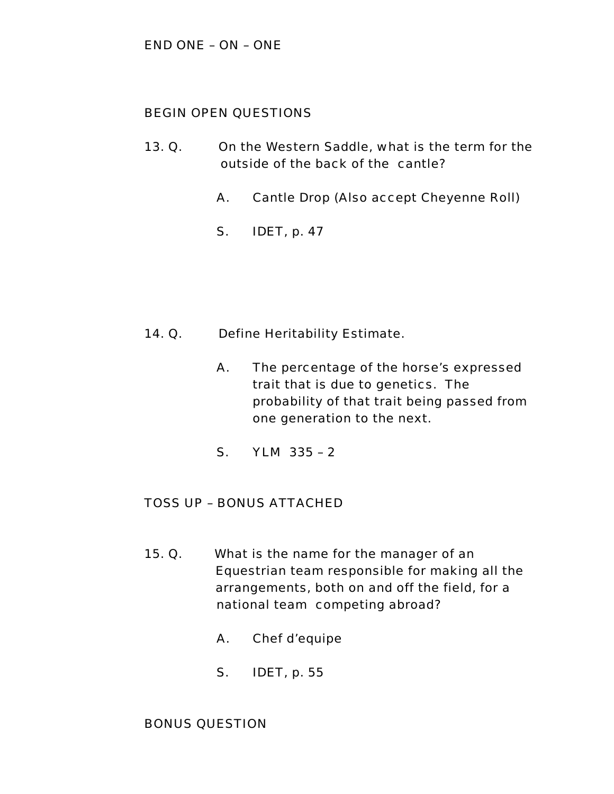### BEGIN OPEN QUESTIONS

- 13. Q. On the Western Saddle, what is the term for the outside of the back of the cantle?
	- A. Cantle Drop (Also accept Cheyenne Roll)
	- S. IDET, p. 47

- 14. Q. Define Heritability Estimate.
	- A. The percentage of the horse's expressed trait that is due to genetics. The probability of that trait being passed from one generation to the next.
	- S. YLM 335 2

#### TOSS UP – BONUS ATTACHED

- 15. Q. What is the name for the manager of an Equestrian team responsible for making all the arrangements, both on and off the field, for a national team competing abroad?
	- A. Chef d'equipe
	- S. IDET, p. 55

#### BONUS QUESTION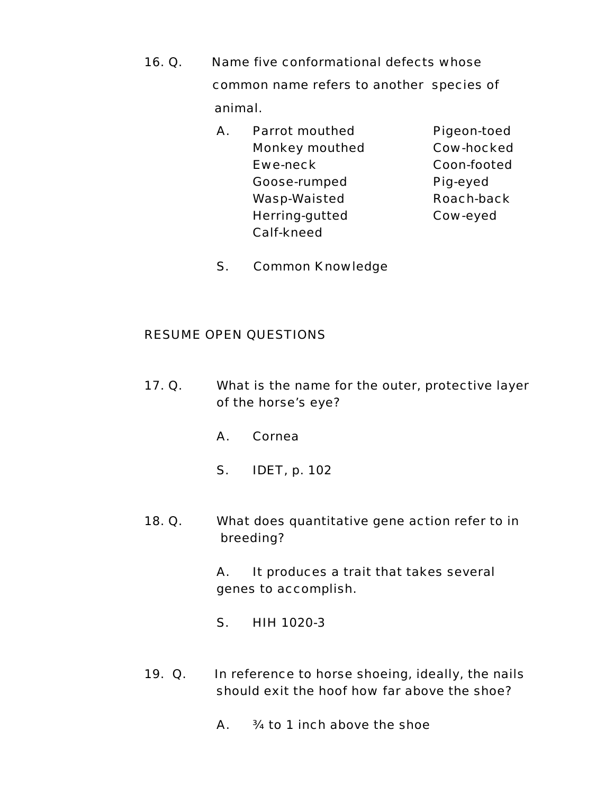- 16. Q. Name five conformational defects whose common name refers to another species of animal.
	- A. Parrot mouthed Pigeon-toed Monkey mouthed Cow-hocked Ewe-neck Coon-footed Goose-rumped Pig-eyed Wasp-Waisted Roach-back Herring-gutted Cow-eyed Calf-kneed

S. Common Knowledge

#### RESUME OPEN QUESTIONS

- 17. Q. What is the name for the outer, protective layer of the horse's eye?
	- A. Cornea
	- S. IDET, p. 102
- 18. Q. What does quantitative gene action refer to in breeding?

A. It produces a trait that takes several genes to accomplish.

- S. HIH 1020-3
- 19. Q. In reference to horse shoeing, ideally, the nails should exit the hoof how far above the shoe?
	- A. ¾ to 1 inch above the shoe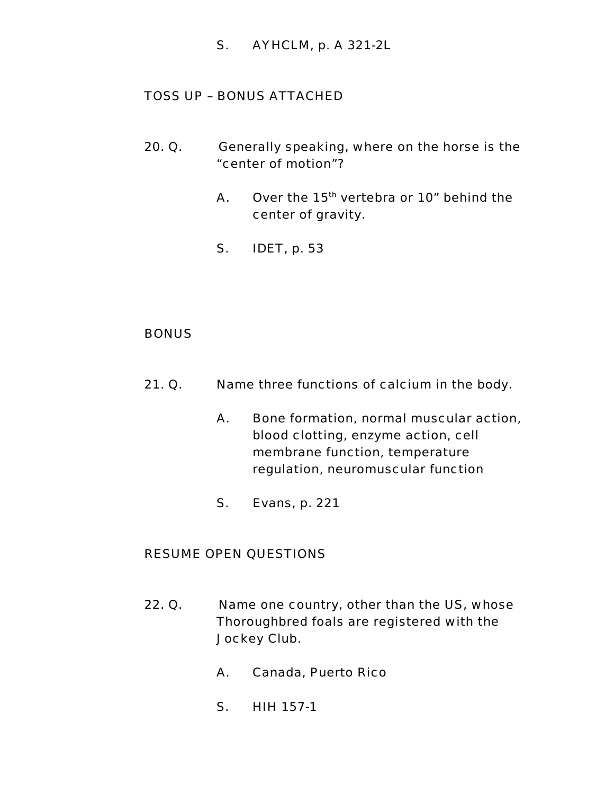S. AYHCLM, p. A 321-2L

## TOSS UP – BONUS ATTACHED

- 20. Q. Generally speaking, where on the horse is the "center of motion"?
	- A. Over the  $15<sup>th</sup>$  vertebra or 10" behind the center of gravity.
	- S. IDET, p. 53

#### **BONUS**

- 21. Q. Name three functions of calcium in the body.
	- A. Bone formation, normal muscular action, blood clotting, enzyme action, cell membrane function, temperature regulation, neuromuscular function
	- S. Evans, p. 221

- 22. Q. Name one country, other than the US, whose Thoroughbred foals are registered with the Jockey Club.
	- A. Canada, Puerto Rico
	- S. HIH 157-1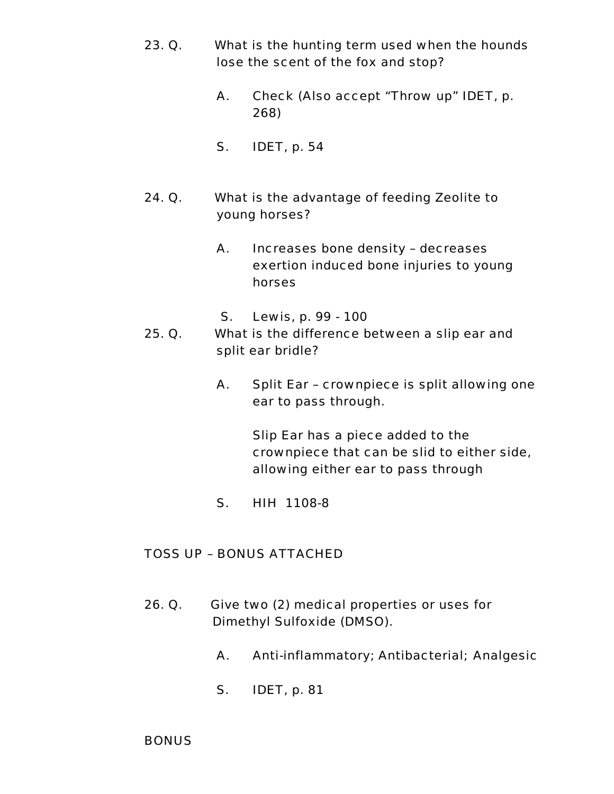- 23. Q. What is the hunting term used when the hounds lose the scent of the fox and stop?
	- A. Check (Also accept "Throw up" IDET, p. 268)
	- S. IDET, p. 54
- 24. Q. What is the advantage of feeding Zeolite to young horses?
	- A. Increases bone density decreases exertion induced bone injuries to young horses
	- S. Lewis, p. 99 100
- 25. Q. What is the difference between a slip ear and split ear bridle?
	- A. Split Ear crownpiece is split allowing one ear to pass through.

Slip Ear has a piece added to the crownpiece that can be slid to either side, allowing either ear to pass through

S. HIH 1108-8

## TOSS UP – BONUS ATTACHED

- 26. Q. Give two (2) medical properties or uses for Dimethyl Sulfoxide (DMSO).
	- A. Anti-inflammatory; Antibacterial; Analgesic
	- S. IDET, p. 81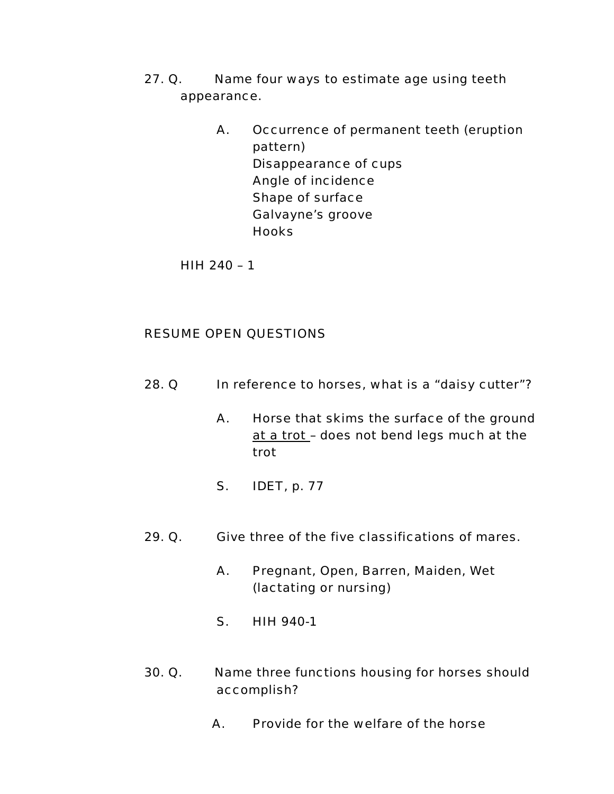- 27. Q. Name four ways to estimate age using teeth appearance.
	- A. Occurrence of permanent teeth (eruption pattern) Disappearance of cups Angle of incidence Shape of surface Galvayne's groove **Hooks**

HIH 240 – 1

- 28. Q In reference to horses, what is a "daisy cutter"?
	- A. Horse that skims the surface of the ground at a trot – does not bend legs much at the trot
	- S. IDET, p. 77
- 29. Q. Give three of the five classifications of mares.
	- A. Pregnant, Open, Barren, Maiden, Wet (lactating or nursing)
	- S. HIH 940-1
- 30. Q. Name three functions housing for horses should accomplish?
	- A. Provide for the welfare of the horse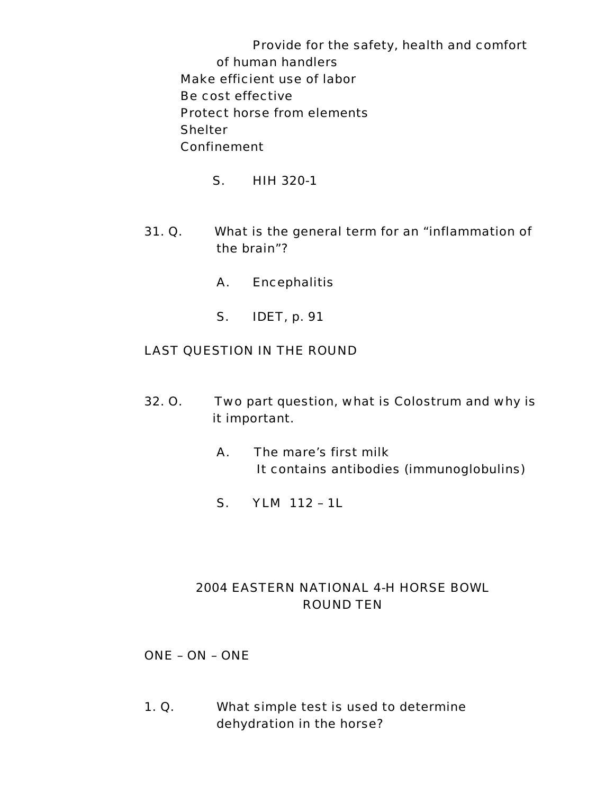Provide for the safety, health and comfort of human handlers Make efficient use of labor Be cost effective Protect horse from elements **Shelter** Confinement

- S. HIH 320-1
- 31. Q. What is the general term for an "inflammation of the brain"?
	- A. Encephalitis
	- S. IDET, p. 91

## LAST QUESTION IN THE ROUND

- 32. O. Two part question, what is Colostrum and why is it important.
	- A. The mare's first milk It contains antibodies (immunoglobulins)
	- S. YLM 112 1L

# 2004 EASTERN NATIONAL 4-H HORSE BOWL ROUND TEN

ONE – ON – ONE

1. Q. What simple test is used to determine dehydration in the horse?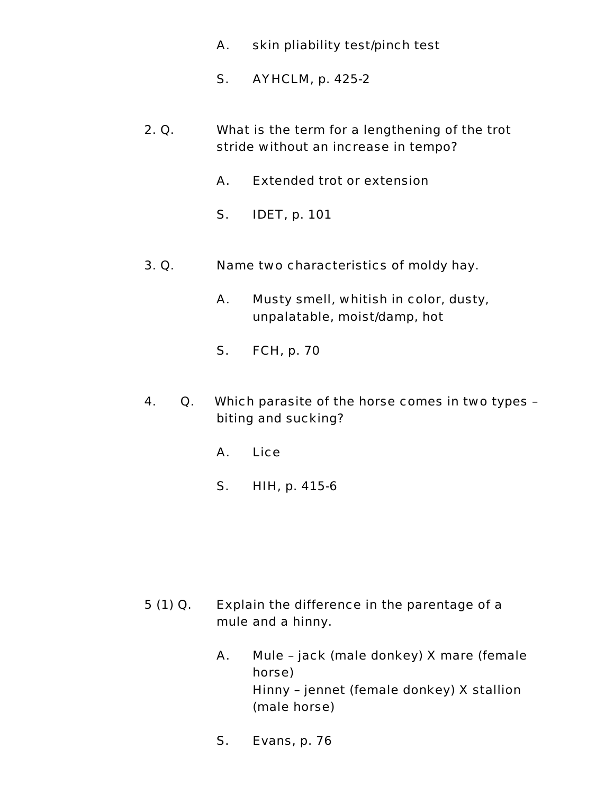- A. skin pliability test/pinch test
- S. AYHCLM, p. 425-2
- 2. Q. What is the term for a lengthening of the trot stride without an increase in tempo?
	- A. Extended trot or extension
	- S. IDET, p. 101
- 3. Q. Name two characteristics of moldy hay.
	- A. Musty smell, whitish in color, dusty, unpalatable, moist/damp, hot
	- S. FCH, p. 70
- 4. Q. Which parasite of the horse comes in two types biting and sucking?
	- A. Lice
	- S. HIH, p. 415-6

- 5 (1) Q. Explain the difference in the parentage of a mule and a hinny.
	- A. Mule jack (male donkey) X mare (female horse) Hinny – jennet (female donkey) X stallion (male horse)
	- S. Evans, p. 76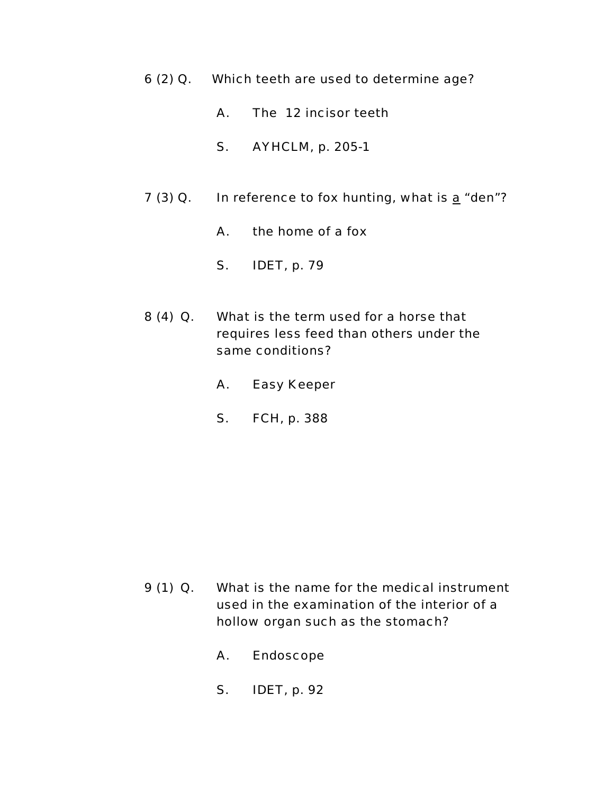- 6 (2) Q. Which teeth are used to determine age?
	- A. The 12 incisor teeth
	- S. AYHCLM, p. 205-1
- 7 (3) Q. In reference to fox hunting, what is  $\underline{a}$  "den"?
	- A. the home of a fox
	- S. IDET, p. 79
- 8 (4) Q. What is the term used for a horse that requires less feed than others under the same conditions?
	- A. Easy Keeper
	- S. FCH, p. 388

- 9 (1) Q. What is the name for the medical instrument used in the examination of the interior of a hollow organ such as the stomach?
	- A. Endoscope
	- S. IDET, p. 92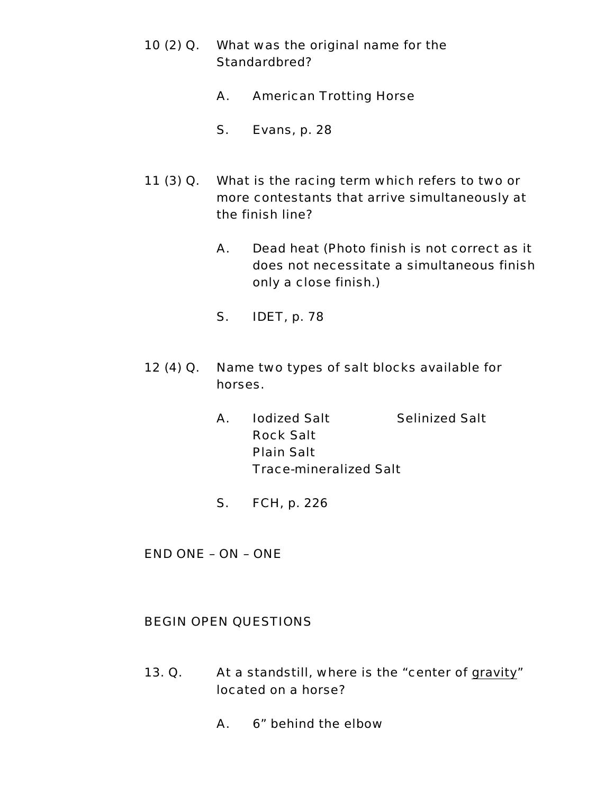- 10 (2) Q. What was the original name for the Standardbred?
	- A. American Trotting Horse
	- S. Evans, p. 28
- 11 (3) Q. What is the racing term which refers to two or more contestants that arrive simultaneously at the finish line?
	- A. Dead heat (Photo finish is not correct as it does not necessitate a simultaneous finish only a close finish.)
	- S. IDET, p. 78
- 12 (4) Q. Name two types of salt blocks available for horses.
	- A. Iodized Salt Selinized Salt Rock Salt Plain Salt Trace-mineralized Salt
	- S. FCH, p. 226

END ONE – ON – ONE

## BEGIN OPEN QUESTIONS

- 13. Q. At a standstill, where is the "center of gravity" located on a horse?
	- A. 6" behind the elbow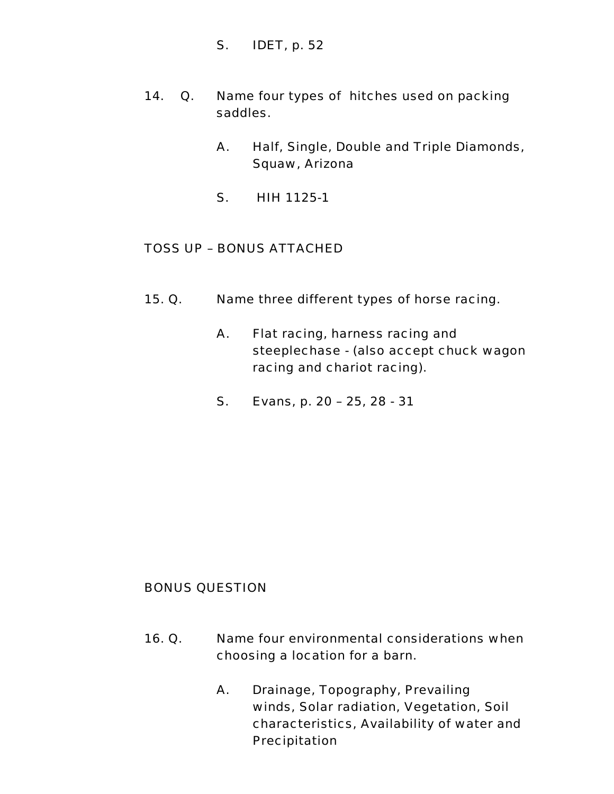- S. IDET, p. 52
- 14. Q. Name four types of hitches used on packing saddles.
	- A. Half, Single, Double and Triple Diamonds, Squaw, Arizona
	- S. HIH 1125-1

## TOSS UP – BONUS ATTACHED

- 15. Q. Name three different types of horse racing.
	- A. Flat racing, harness racing and steeplechase - (also accept chuck wagon racing and chariot racing).
	- S. Evans, p. 20 25, 28 31

## BONUS QUESTION

- 16. Q. Name four environmental considerations when choosing a location for a barn.
	- A. Drainage, Topography, Prevailing winds, Solar radiation, Vegetation, Soil characteristics, Availability of water and Precipitation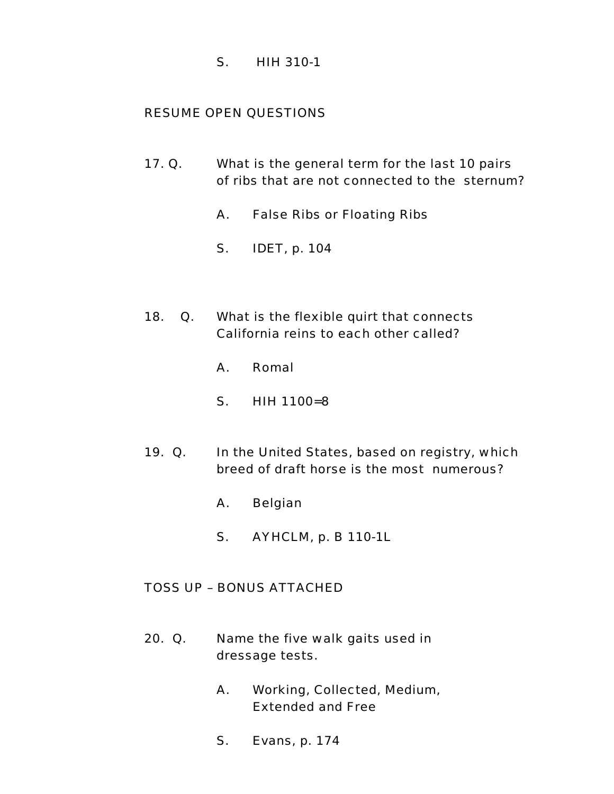S. HIH 310-1

# RESUME OPEN QUESTIONS

- 17. Q. What is the general term for the last 10 pairs of ribs that are not connected to the sternum?
	- A. False Ribs or Floating Ribs
	- S. IDET, p. 104
- 18. Q. What is the flexible quirt that connects California reins to each other called?
	- A. Romal
	- S. HIH 1100=8
- 19. Q. In the United States, based on registry, which breed of draft horse is the most numerous?
	- A. Belgian
	- S. AYHCLM, p. B 110-1L

## TOSS UP – BONUS ATTACHED

- 20. Q. Name the five walk gaits used in dressage tests.
	- A. Working, Collected, Medium, Extended and Free
	- S. Evans, p. 174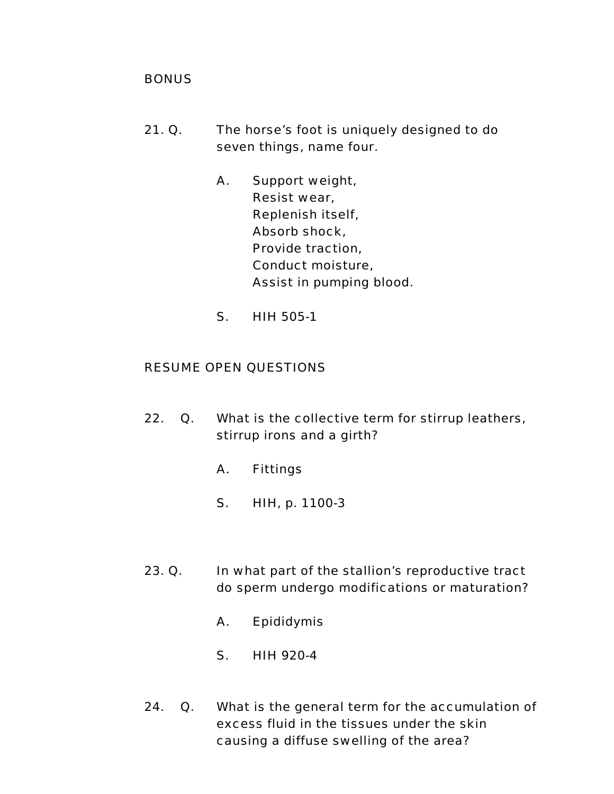## **BONUS**

- 21. Q. The horse's foot is uniquely designed to do seven things, name four.
	- A. Support weight, Resist wear, Replenish itself, Absorb shock, Provide traction, Conduct moisture, Assist in pumping blood.
	- S. HIH 505-1

- 22. Q. What is the collective term for stirrup leathers, stirrup irons and a girth?
	- A. Fittings
	- S. HIH, p. 1100-3
- 23. Q. In what part of the stallion's reproductive tract do sperm undergo modifications or maturation?
	- A. Epididymis
	- S. HIH 920-4
- 24. Q. What is the general term for the accumulation of excess fluid in the tissues under the skin causing a diffuse swelling of the area?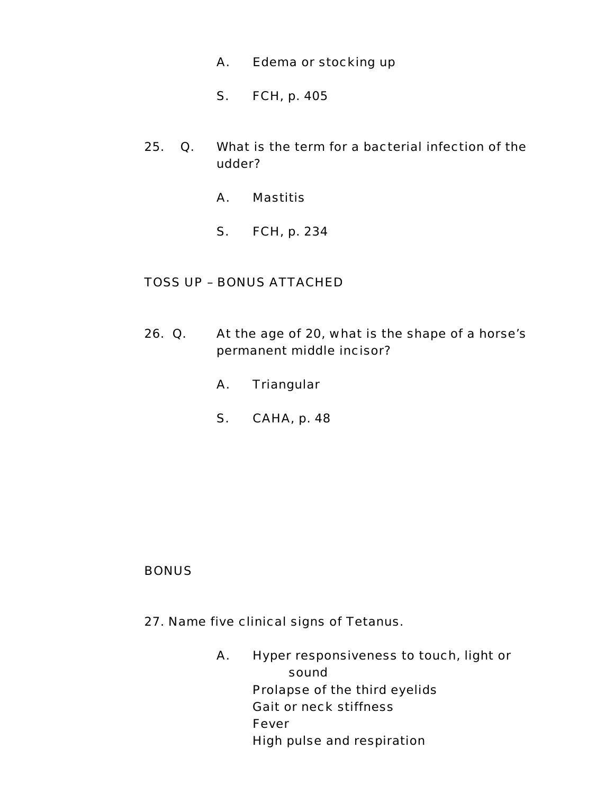- A. Edema or stocking up
- S. FCH, p. 405
- 25. Q. What is the term for a bacterial infection of the udder?
	- A. Mastitis
	- S. FCH, p. 234

# TOSS UP – BONUS ATTACHED

- 26. Q. At the age of 20, what is the shape of a horse's permanent middle incisor?
	- A. Triangular
	- S. CAHA, p. 48

## **BONUS**

- 27. Name five clinical signs of Tetanus.
	- A. Hyper responsiveness to touch, light or sound Prolapse of the third eyelids Gait or neck stiffness Fever High pulse and respiration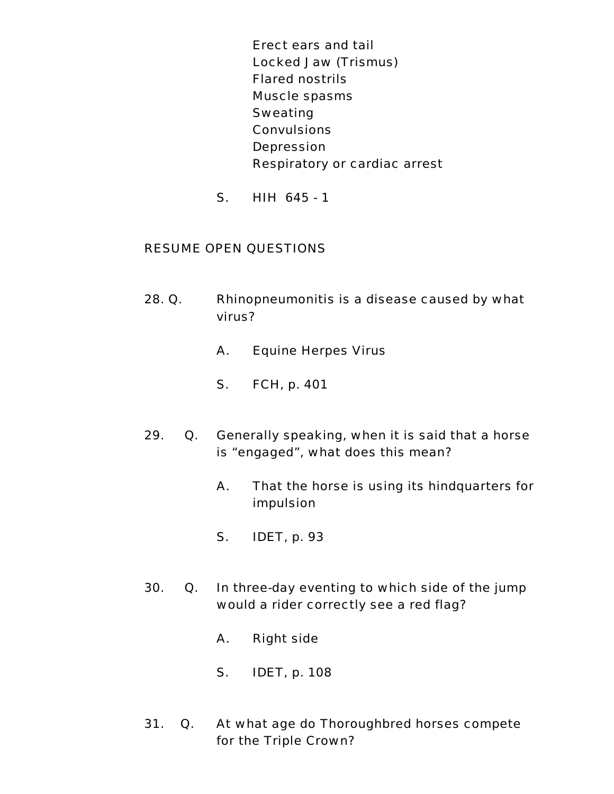Erect ears and tail Locked Jaw (Trismus) Flared nostrils Muscle spasms Sweating **Convulsions Depression** Respiratory or cardiac arrest

S. HIH 645 - 1

- 28. Q. Rhinopneumonitis is a disease caused by what virus?
	- A. Equine Herpes Virus
	- S. FCH, p. 401
- 29. Q. Generally speaking, when it is said that a horse is "engaged", what does this mean?
	- A. That the horse is using its hindquarters for impulsion
	- S. IDET, p. 93
- 30. Q. In three-day eventing to which side of the jump would a rider correctly see a red flag?
	- A. Right side
	- S. IDET, p. 108
- 31. Q. At what age do Thoroughbred horses compete for the Triple Crown?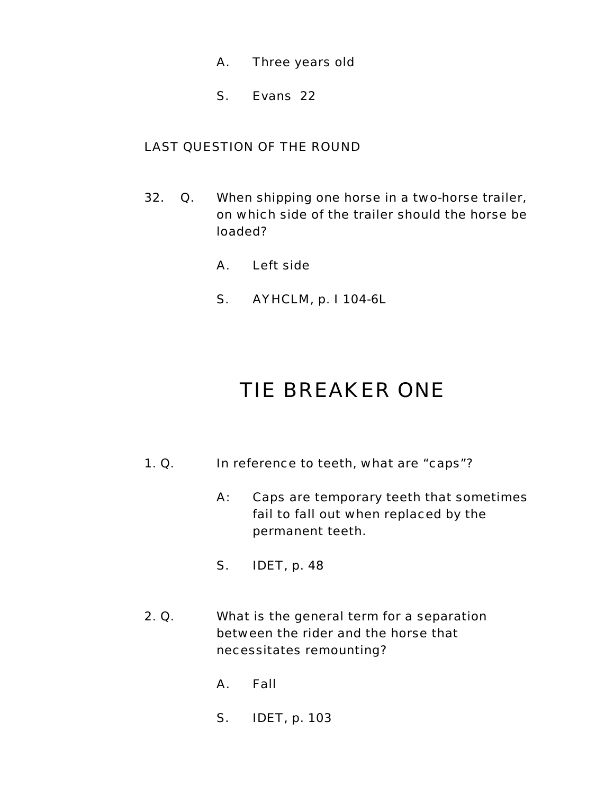- A. Three years old
- S. Evans 22

# LAST QUESTION OF THE ROUND

- 32. Q. When shipping one horse in a two-horse trailer, on which side of the trailer should the horse be loaded?
	- A. Left side
	- S. AYHCLM, p. I 104-6L

# TIE BREAKER ONE

- 1. Q. In reference to teeth, what are "caps"?
	- A: Caps are temporary teeth that sometimes fail to fall out when replaced by the permanent teeth.
	- S. IDET, p. 48
- 2. Q. What is the general term for a separation between the rider and the horse that necessitates remounting?
	- A. Fall
	- S. IDET, p. 103